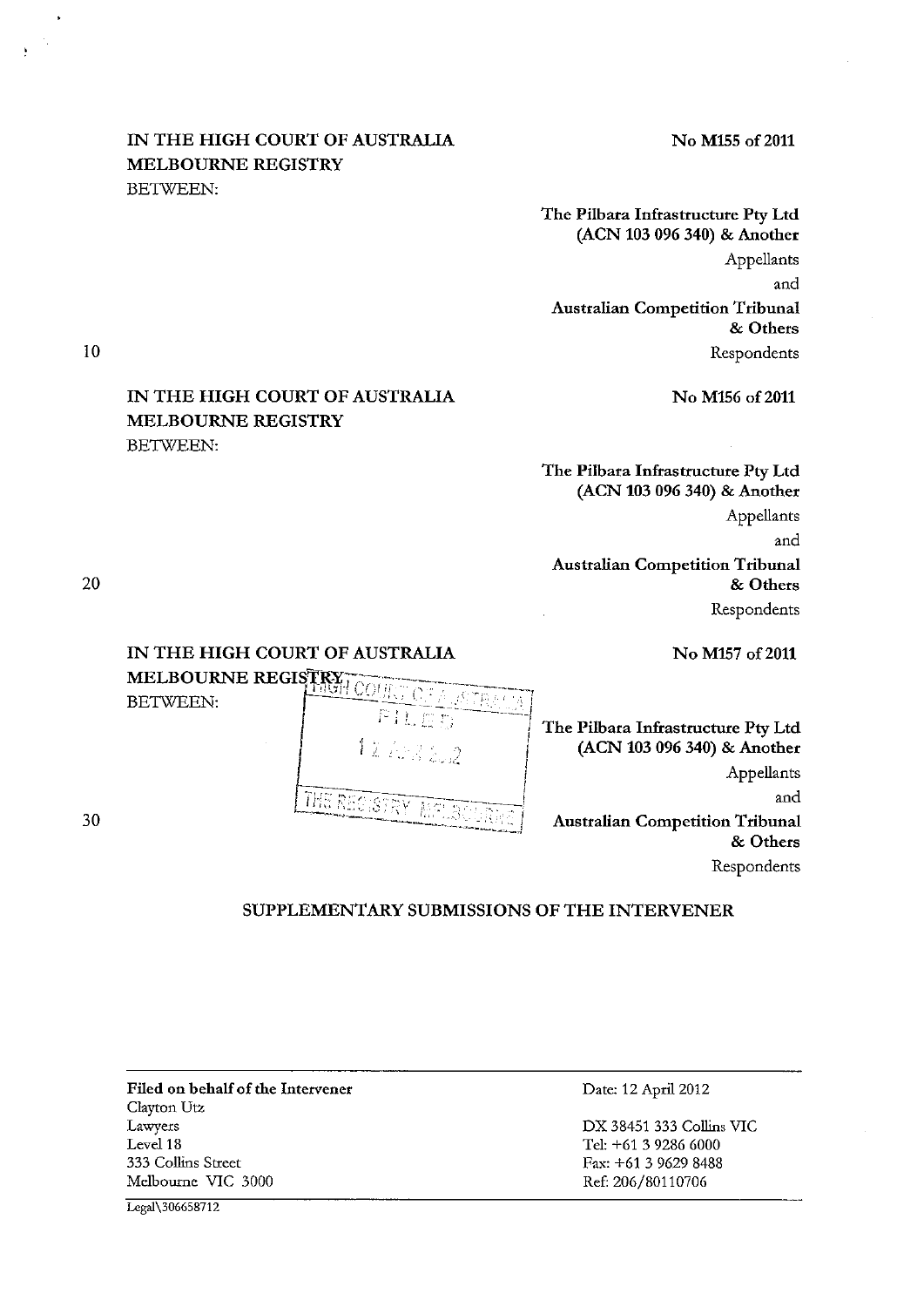# IN THE HIGH COURT OF AUSTRALIA No M155 of 2011 MELBOURNE REGISTRY BETWEEN:

The Pilbara Infrastructure Pty Ltd (ACN 103 096 340) & Another Appellants and Australian Competition Tribunal & Others

Respondents

10

# IN THE HIGH COURT OF AUSTRALIA No M156 of 2011 MELBOURNE REGISTRY BETWEEN:

The Pilbara Infrastructure Pty Ltd (ACN 103 096 340) & Another Appellants and Australian Competition Tribunal & Others

Respondents

IN THE HIGH COURT OF AUSTRALIA No M157 of 2011



The Pilbara Infrastructure Pty Ltd (ACN 103 096 340) & Another Appellants and Australian Competition Tribunal & Others

Respondents

SUPPLEMENTARY SUBMISSIONS OF THE INTERVENER

i

Filed on behalf of the Intervener Clayton Utz Lawyers Level 18 333 Collins Stteet Melboume VIC 3000

Date: 12 April 2012

DX 38451 333 Collins VIC Tel: +61 3 9286 6000 Fax: +61 3 9629 8488 Ref: 206/80110706

Legal\306658712

20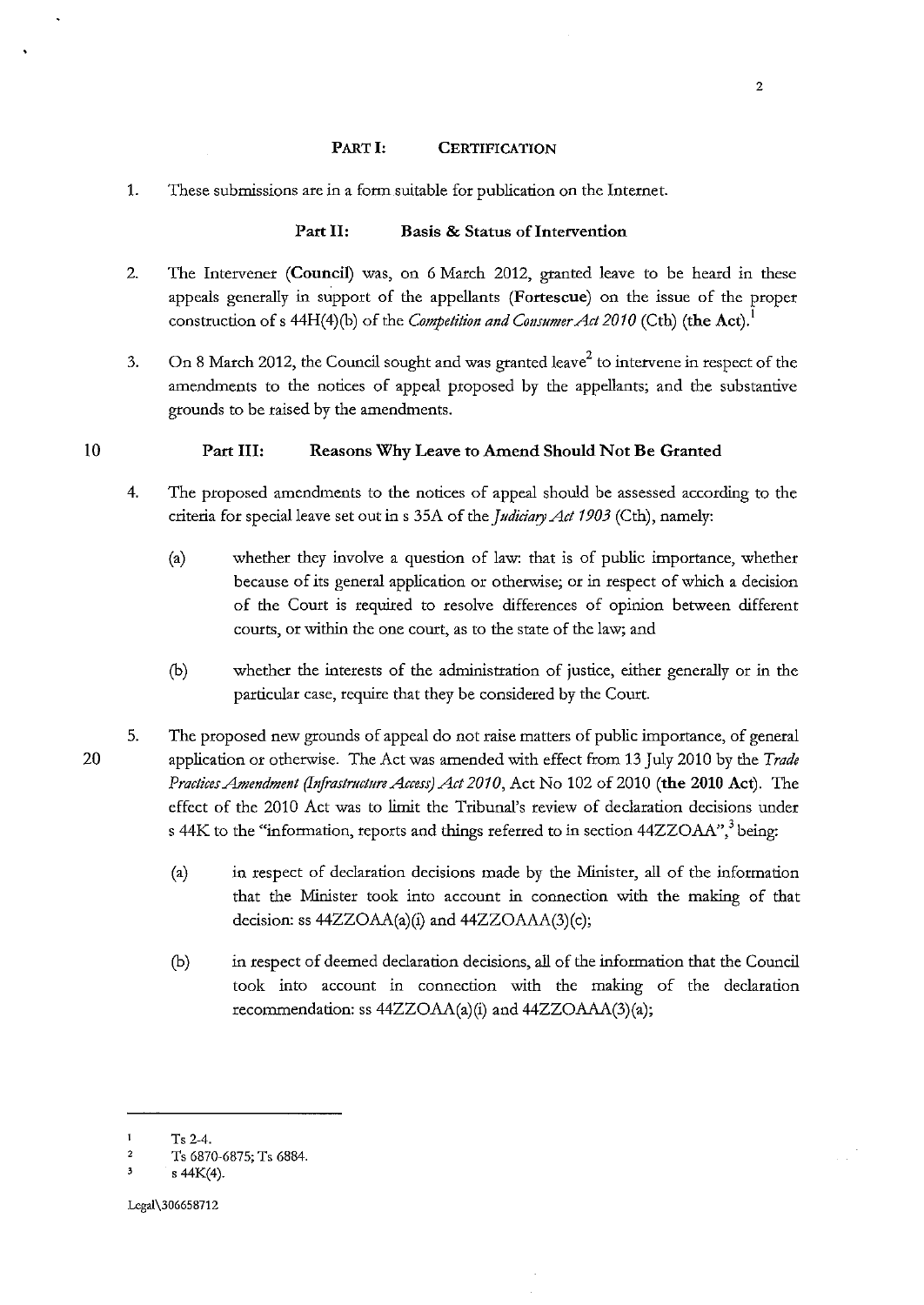#### PART I: **CERTIFICATION**

1. These submissions are in a form suitable for publication on the Internet.

### Part II: Basis & Status of Intervention

- 2. The Intervener (Council) was, on 6 March 2012, granted leave to be heard in these appeals generally in support of the appellants (Fortescue) on the issue of the proper construction of s 44H(4)(b) of the *Competition and Consumer Act 2010* (Cth) (the Act). <sup>1</sup>
- 3. On 8 March 2012, the Council sought and was granted leave<sup>2</sup> to intervene in respect of the amendments to the notices of appeal proposed by the appellants; and the substantive grounds to be raised by the amendments.

#### Part III: Reasons Why Leave to Amend Should Not Be Granted

- 4. The proposed amendments to the notices of appeal should be assessed according to the criteria for special leave set out ins 35A of the *Judiciary Act 1903* (Cth), namely:
	- (a) whether they involve a question of law: that is of public importance, whether because of its general application or otherwise; or in respect of which a decision of the Court is required to resolve differences of opinion between different **courts, or within the one court, as to the state of the law; and**
	- (b) whether the interests of the administration of justice, either generally or in the particular case, require that they be considered by the Court.
- 5. The proposed new grounds of appeal do not raise matters of public importance, of general application or otherwise. The Act was amended with effect from 13 July 2010 by the *Trade Practices Amendment (Infrastructure Access) Act 2010,* Act No 102 of 2010 (the 2010 Act). The effect of the 2010 Act was to limit the Tribunal's review of declaration decisions under s 44K to the "information, reports and things referred to in section 44ZZOAA",<sup>3</sup> being:
	- (a) in respect of declaration decisions made by the Minister, all of the information that the Minister took into account in connection with the making of that decision: ss 44ZZOAA(a)(i) and 44ZZOAAA(3)(c);
	- (b) in respect of deemed declaration decisions, all of the information that the Council took into account in connection with the making of the declaration recommendation: ss 44ZZOAA(a)(i) and 44ZZOAAA(3)(a);

10

 $\mathbf{1}$ Ts 2-4.

<sup>2</sup>  Ts 6870-6875; Ts 6884.

<sup>&#</sup>x27; s 44K(4).

Lcgal\306658712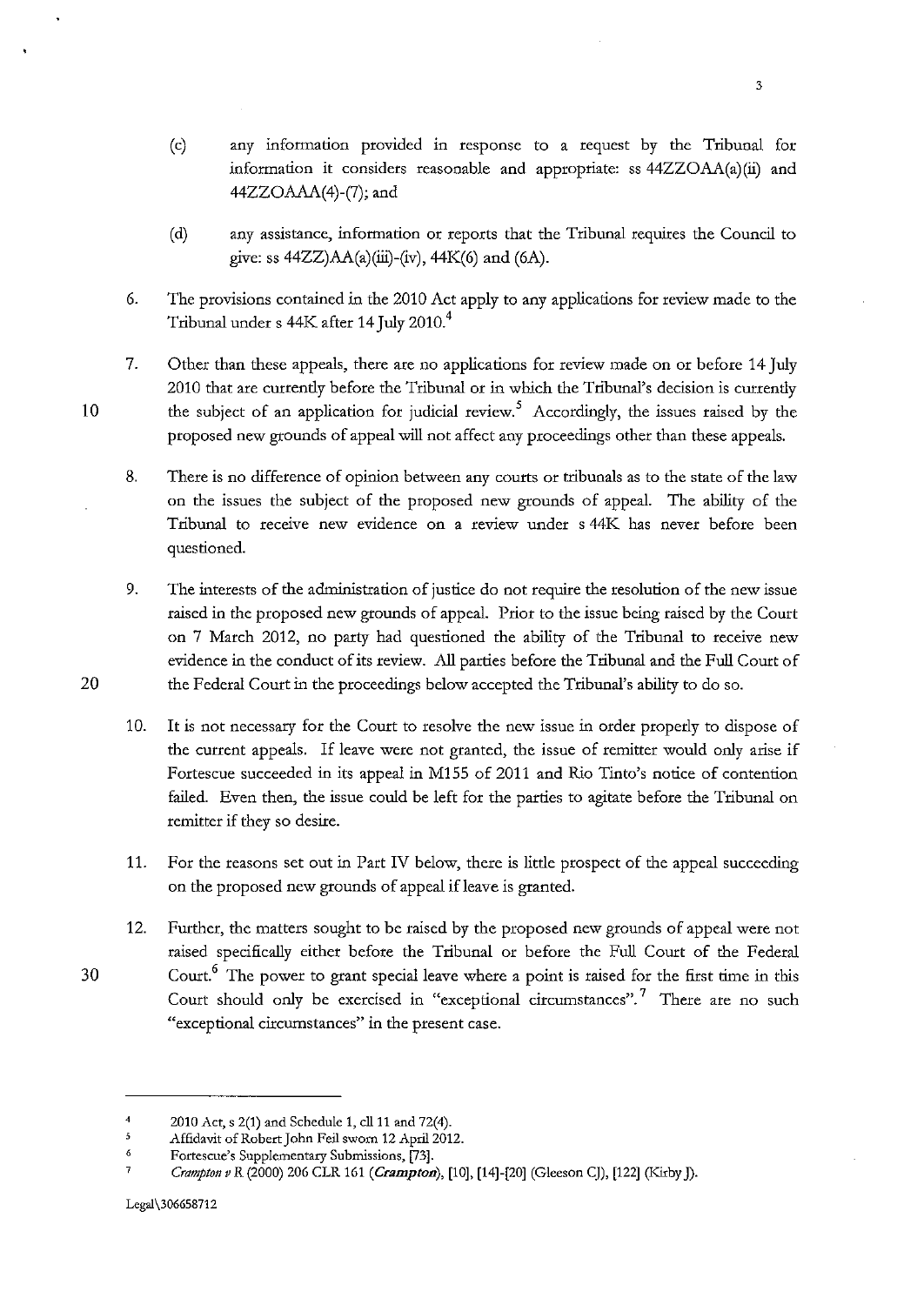- (c) any information provided in response to a request by the Tribunal for information it considers reasonable and appropriate: ss 44ZZOAA(a)(ii) and 44ZZOAAA(4)-(7); and
- (d) any assistance, information or reports that the Tribunal requires the Council to give: ss  $44ZZ$ ) $AA$ (a)(iii)-(iv),  $44K$ (6) and (6A).
- 6. The provisions contained in the 2010 Act apply to any applications for review made to the Tribunal under s  $44K$  after 14 July 2010. $4$
- 7. Other than these appeals, there are no applications for review made on or before 14 July 2010 that are currendy before the Tribunal or in which the Tribunal's decision is currendy the subject of an application for judicial review.<sup>5</sup> Accordingly, the issues raised by the proposed new gtounds of appeal will not affect any proceedings other than these appeals.

8. There is no difference of opinion between any courts or tribunals as to the state of the law on the issues the subject of the proposed new grounds of appeal. The ability of the Tribunal to receive new evidence on a review under s 44K has never before been questioned.

9. The interests of the administration of justice do not require the resolution of the new issue raised in the proposed new gtounds of appeal. Prior to the issue being raised by the Court on 7 March 2012, no party had questioned the ability of the Tribunal to receive new evidence in the conduct of its review. All parties before the Tribunal and the Full Court of 20 the Federal Court in the proceedings below accepted the Tribunal's ability to do so.

10. It is not necessary for the Court to resolve the new issue in order properly to dispose of the current appeals. If leave were not gtanted, the issue of remitter would only arise if Fortescue succeeded in its appeal in M155 of 2011 and Rio Tinto's notice of contention failed. Even then, the issue could be left for the parties to agitate before the Tribunal on remitter if they so desire.

11. For the reasons set out in Part IV below, there is litde prospect of the appeal succeeding on the proposed new grounds of appeal if leave is granted.

12. Further, the matters sought to be raised by the proposed new grounds of appeal were not raised specifically either before the Tribunal or before the Full Court of the Federal  $30$  Court.<sup>6</sup> The power to grant special leave where a point is raised for the first time in this Court should only be exercised in "exceptional circumstances".<sup>7</sup> There are no such **"exceptional circumstances" in the present case.** 

<sup>4</sup>  2010 Act, s 2(1) and Schedule 1, cll 11 and 72(4).

 $\overline{\mathbf{5}}$ Affidavit of Robert John Feil sworn 12 Apri12012.

<sup>6</sup>  **Fortescue's Supplementary Submissions, [73].** 

<sup>7</sup>  Crampton v R (2000) 206 CLR 161 (Crampton), [10], [14]-[20] (Gleeson CJ), [122] (Kirby J).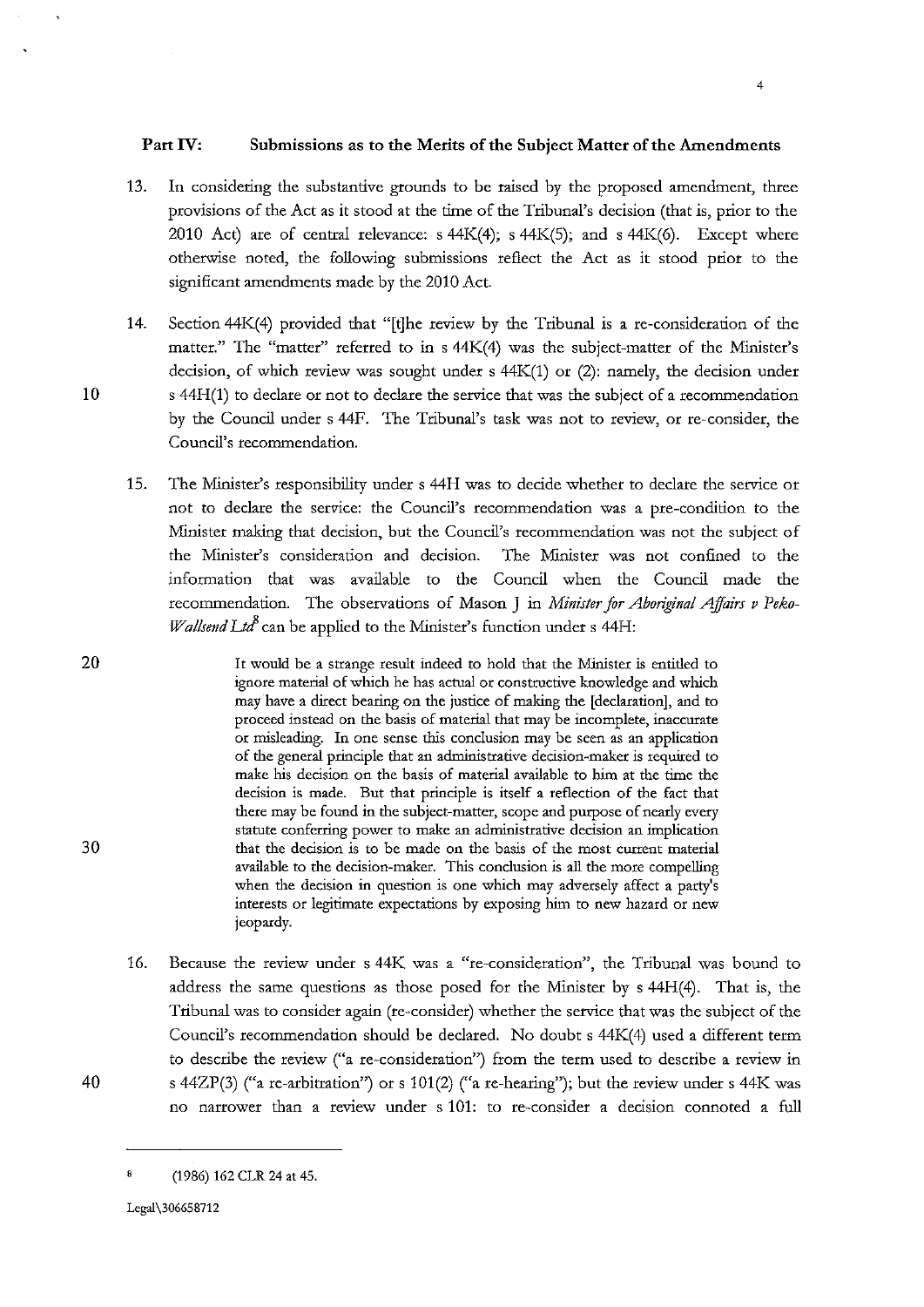- 13. In considering the substantive grounds to be raised by the proposed amendment, three provisions of the Act as it stood at the time of the Tribunal's decision (that is, prior to the 2010 Act) are of central relevance:  $s$  44K(4);  $s$  44K(5); and  $s$  44K(6). Except where otherwise noted, the following submissions reflect the Act as it stood prior to the significant amendments made by the 2010 Act.
- 14. Section 44K(4) provided that "[t]he review by the Tribunal is a re-consideration of the matter." The "matter" referred to in s 44K(4) was the subject-matter of the Minister's decision, of which review was sought under s 44K(1) or (2): namely, the decision under s 44H(1) to declare or not to declare the service that was the subject of a recommendation by the Council under s 44F. The Tribunal's task was not to review, or re-consider, the **Council's recommendation.**
- 15. The Minister's responsibility under s 44H was to decide whether to declare the service or not to declare the service: the Council's recommendation was a pre-condition to the Minister making that decision, but the Council's recommendation was not the subject of the Minister's consideration and decision. The Minister was not confined to the information that was available to the Council when the Council made the recommendation. The observations of Mason J in *Minister for Aboriginal Affairs v Peko-Wallsend Ltd*<sup>8</sup> can be applied to the Minister's function under s 44H:

20 It would be a strange result indeed to hold that the Minister *is* entitled to ignore material of which he has actual or constructive knowledge and which may have a direct bearing on the justice of making the [declaration], and to **proceed instead on the basis of material that may be incomplete, inaccurate or misleading. In one sense this conclusion may be seen as an application of the general principle that an administrative decision-maker is required to**  make his decision on the basis of material available to him at the time the **decision is made. But that principle is itself a reflection of the fact that**  there may be found in the subject-matter, scope and purpose of nearly every **statute conferring power to make an administrative decision an implication 30 that the decision is to be made on the basis of the most current material**  available to the decision-maker. This conclusion is all the more compelling **when the decision in question is one which may adversely affect a party's interests or legitimate expectations by exposing him to new hazard or new**  jeopardy.

16. Because the review under s 44K was a "re-consideration", the Tribunal was bound to address the same questions as those posed for the Minister by s 44H(4). That is, the Tribunal was to consider again (re-consider) whether the service that was the subject of the Council's recommendation should be declared. No doubt s 44K(4) used a different term **to describe the review ("a re-consideration") from the term used to describe a review in**  s 44ZP(3) ("a re-arbitration") or s 101(2) ("a re-hearing"); but the review under s 44K was no narrower than a review under s 101: to re-consider a decision connoted a full

10

<sup>(1986) 162</sup> CLR 24 at 45.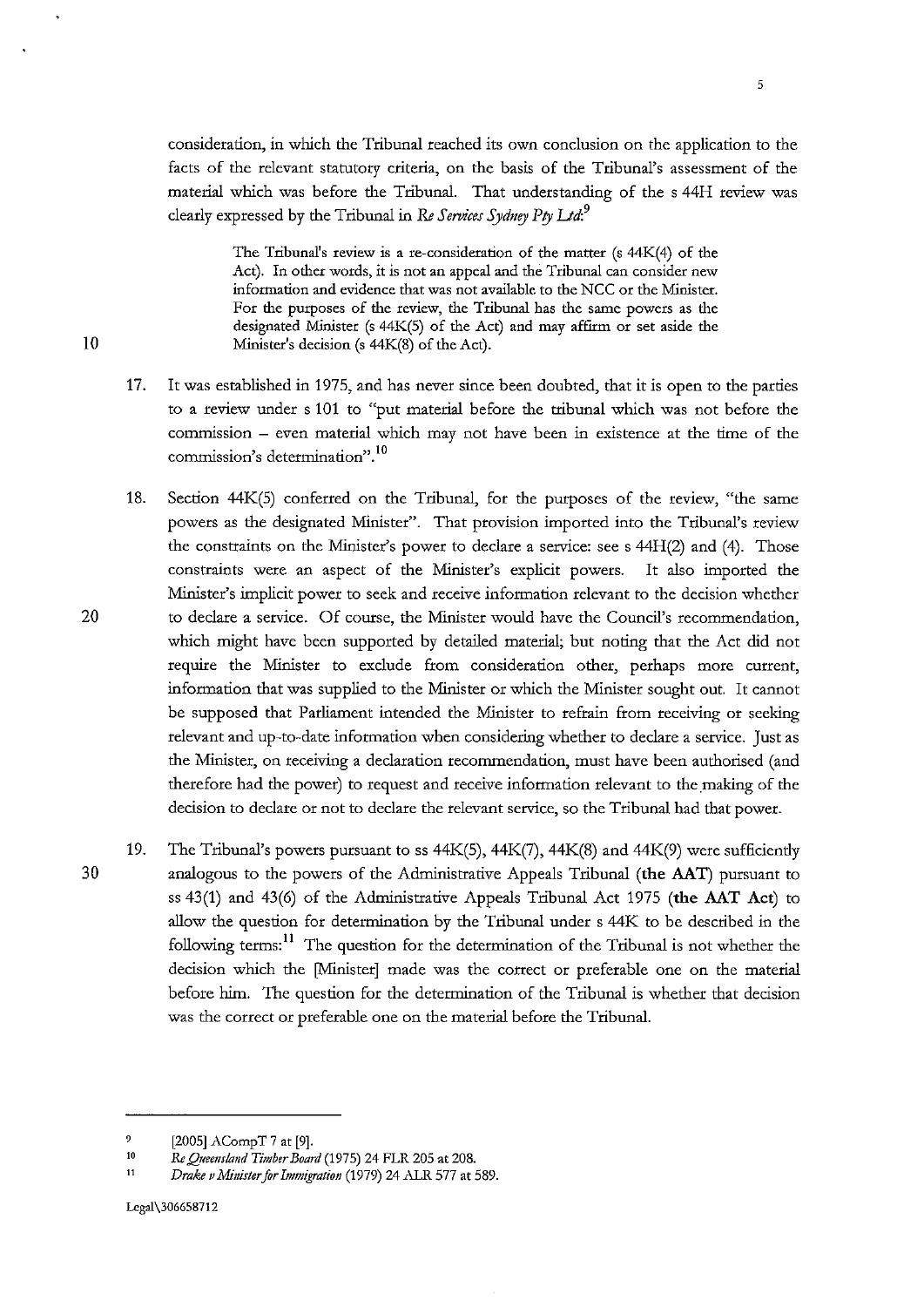consideration, in which the Tribunal reached its own conclusion on the application to the facts of the relevant statutory criteria, on the basis of the Tribunal's assessment of the material which was before the Tribunal. That understanding of the s 44H review was clearly expressed by the Tribunal in *Re Services Sydney Pry Ltd:<sup>9</sup>*

The Tribunal's review is a re-consideration of the matter (s 44K(4) of the Act). In other words, it is not an appeal and the Tribunal can consider new **information and evidence that was not available to the NCC or the Minister. For the purposes of the review, the Tribunal has the same powers as the**  designated Minister (s 44K(S) of the Act) and may affirm or set aside the 10 Minister's decision (s  $44K(8)$  of the Act).

- 17. It was established in 1975, and has never since been doubted, that it is open to the parties to a review under s 101 to "put material before the tribunal which was not before the commission - even material which may not have been in existence at the time of the **commission's determination". <sup>10</sup>**
- 18. Section 44K(5) conferred on the Tribunal, for the purposes of the review, "the same powers as the designated Minister". That provision imported into the Tribunal's review the constraints on the Minister's power to declare a service: see s 44H(2) and (4). Those constraints were an aspect of the Minister's explicit powers. It also imported the Minister's implicit power to seek and receive information relevant to the decision whether 20 to declare a service. Of course, the Minister would have the Council's recommendation, which might have been supported by detailed material; but noting that the Act did not require the Minister to exclude from consideration other, perhaps more current, information that was supplied to the Minister or which the Minister sought out. It cannot be supposed that Parliament intended the Minister to refrain from receiving or seeking relevant and up-to-date information when considering whether to declare a service. Just as the Minister, on receiving a declaration recommendation, must have been authorised (and therefore had the power) to request and receive information relevant to the making of the decision to declare or not to declare the relevant service, so the Tribunal had that power.
- 19. The Tribunal's powers pursuant to ss  $44K(5)$ ,  $44K(7)$ ,  $44K(8)$  and  $44K(9)$  were sufficiently 30 analogous to the powers of the Administrative Appeals Tribunal (the AAT) pursuant to ss 43(1) and 43(6) of the Administrative Appeals Tribunal Act 1975 (the AAT Act) to allow the question for determination by the Tribunal under s 44K to be described in the following terms: 11 The question for the determination of the Tribunal is not whether the decision which the [Minister] made was the correct or preferable one on the material before him. The question for the determination of the Tribunal is whether that decision was the correct or preferable one on the material before the Tribunal.

 $\overline{9}$ [2005] ACompT 7 at [9].

to *ReQaeetls!and Timber Board* (1975) 24 FLR 205 at 208.

II *Drake vMinister for Immigration* (1979) 24 ALR 577 at 589.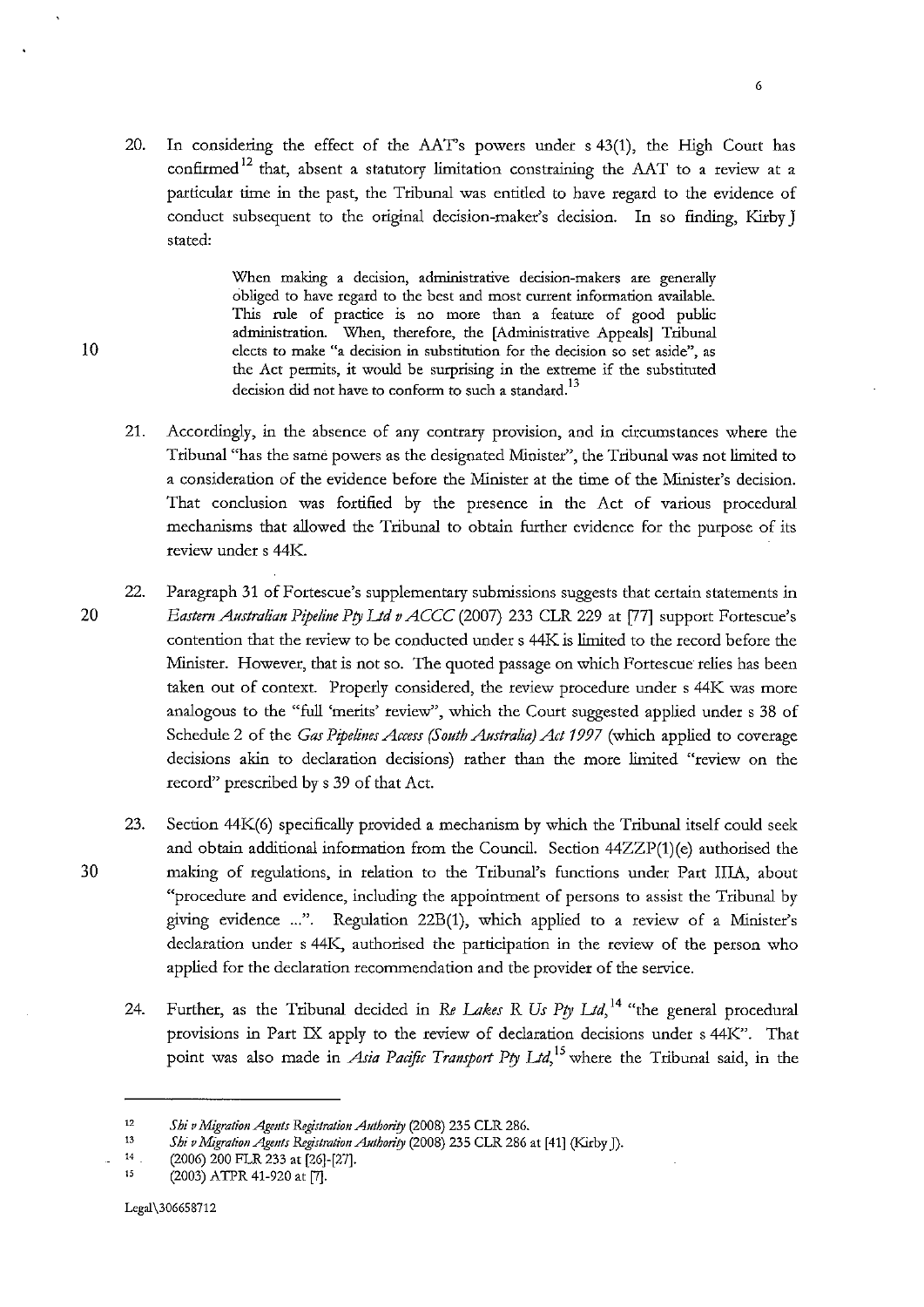20. In considering the effect of the AAT's powers under s 43(1), the High Court has confirmed<sup>12</sup> that, absent a statutory limitation constraining the AAT to a review at a particular time in the past, the Tribunal was entitled to have regard to the evidence of conduct subsequent to the original decision-maker's decision. In so finding, Kirby J stated:

**When making a decision, administrative decision-makers are generally obliged to have regard to the best and most current information available.**  This rule of practice is no more than a feature of good public administration. When, therefore, the [Administrative Appeals] Tribunal **10 elects to make "a decision in substitution for the decision so set aside", as**  the Act pennits, it would be surprising in the extreme if the substituted **decision did not have to conform to such a standard.** <sup>13</sup>

- 21. Accordingly, in the absence of any contrary provision, and in circumstances where the Tribunal "has the same powers as the designated Minister", the Tribunal was not limited to a consideration of the evidence before the Minister at the time of the Minister's decision. That conclusion was fortified by the presence in the Act of various procedural mechanisms that allowed the Tribunal to obtain further evidence for the purpose of its review under s 44K.
- 22. Paragraph 31 of Fortescue's supplementary submissions suggests that certain statements in 20 *Eastern Australian Pipeline Pty Ud v ACCC* (2007) 233 CLR 229 at [77] support Fortescue's contention that the review to be conducted under s 44K is limited to the record before the Minister. However, that is not so. The quoted passage on which Fortescue relies has been taken out of context. Properly considered, the review procedure under s 44K was more analogous to the "full 'merits' review", which the Court suggested applied under s 38 of Schedule 2 of the *Gas Pipelines Access (South Australia) Act 1997* (which applied to coverage decisions akin to declaration decisions) rather than the more limited "review on the record" prescribed by s 39 of that Act.
- 23. Section 44K(6) specifically provided a mechanism by which the Tribunal itself could seek and obtain additional information from the Council. Section 44ZZP(1)(e) authorised the 30 making of regulations, in relation to the Tribunal's functions under Part lilA, about "procedure and evidence, including the appointment of persons to assist the Tribunal by giving evidence ...". Regulation 22B(1), which applied to a review of a Minister's declaration under s 44K, authorised the participation in the review of the person who applied for the declaration recommendation and the provider of the service.
	- 24. Further, as the Tribunal decided in Re *Lakes* R *Us Pty Ud,* 14 "the general procedural provisions in Part IX apply to the review of declaration decisions under s 44K". That point was also made in *Asia Padfic Transport Pty Ud,* 15 where the Tribunal said, in the

<sup>12</sup>  *Shiv Migration Agmts Registration Authority* (2008) 235 CLR 286.

<sup>13</sup>  *Shi v Migration Agents Registration Authority* (2008) 235 CLR 286 at [41] (Kirby J).

<sup>14</sup>  (2006) 200 FLR 233 at [26]-[27].

<sup>15</sup>  (2003) ATPR 41-920 at [7].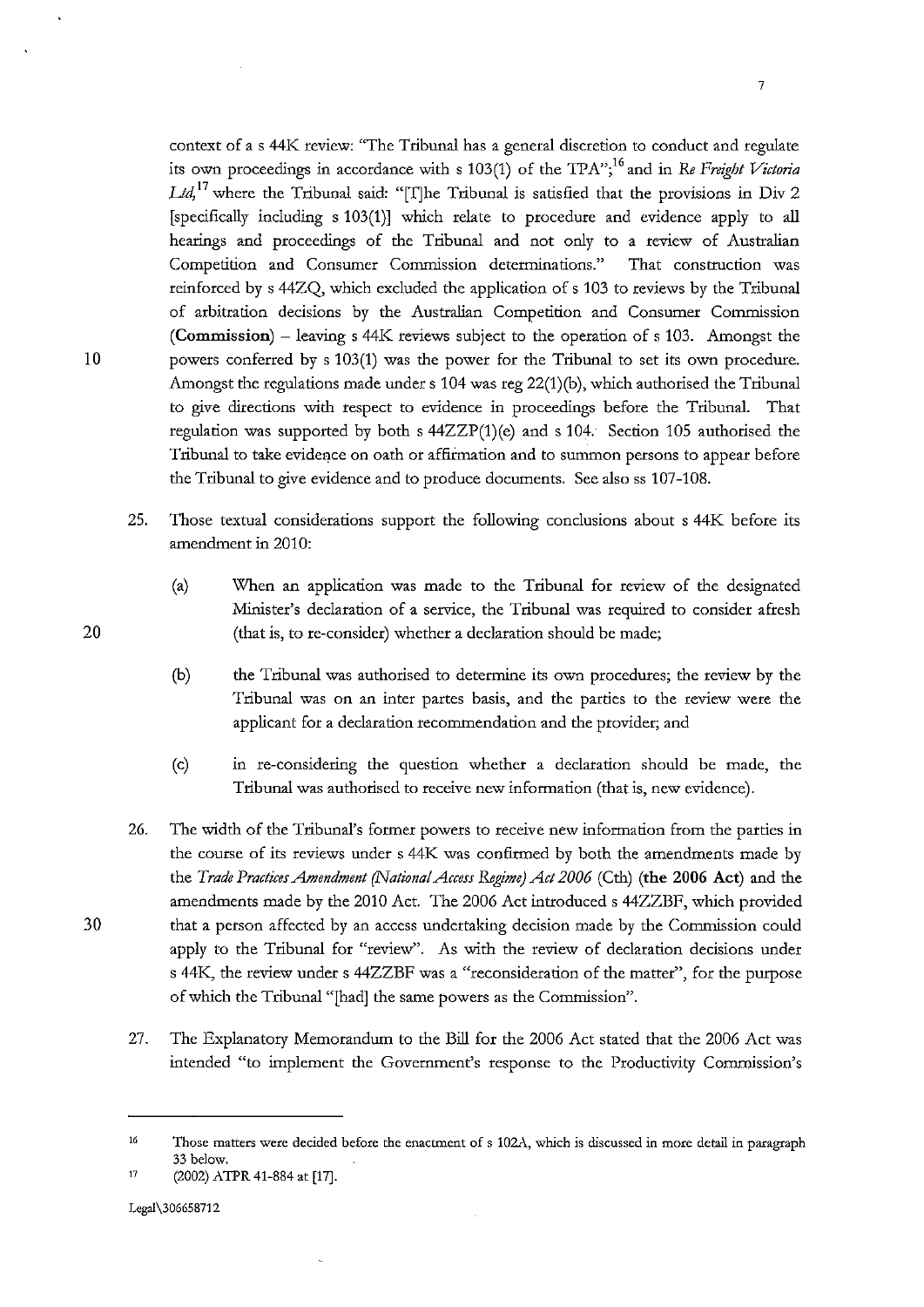context of a s 44K review: "The Tribunal has a general discretion to conduct and regulate its own proceedings in accordance with s 103(1) of the TPA"<sup>16</sup> and in *Re Freight Victoria Ud,* 17 where the Tribunal said: "[T]he Tribunal is satisfied that the provisions in Div 2 [specifically including s 103(1)] which relate to procedure and evidence apply to all hearings and proceedings of the Tribunal and not only to a review of Australian **Competition and Consumer Commission determinations." That construction was**  reinforced by s 44ZQ, which excluded the application of s 103 to reviews by the Tribunal of arbitration decisions by the Australian Competition and Consumer Commission (Commission) -leaving s 44K reviews subject to the operation of s 103. Amongst the 10 powers conferred by s 103(1) was the power for the Tribunal to set its own procedure. Amongst the regulations made under s 104 was reg 22(1)(b), which authorised the Tribunal to give directions with respect to evidence in proceedings before the Tribunal. That regulation was supported by both s  $44ZZP(1)$ (e) and s 104. Section 105 authorised the Tribunal to take evidence on oath or affumation and to summon persons to appear before the Tribunal to give evidence and to produce documents. See also ss 107-108.

- 25. Those textual considerations support the following conclusions about s 44K before its amendment in 2010:
	- (a) When an application was made to the Tribunal for review of the designated Minister's declaration of a service, the Tribunal was required to consider afresh (that is, to re-consider) whether a declaration should be made;
	- (b) the Tribunal was authorised to determine its own procedures; the review by the Tribunal was on an inter partes basis, and the parties to the review were the applicant for a declaration recommendation and the provider; and
	- (c) in re-considering the question whether a declaration should be made, the Tribunal was authorised to receive new information (that is, new evidence).
- 26. The width of the Tribunal's former powers to receive new information from the parties in the course of its reviews under s 44K was confirmed by both the amendments made by the *Trade Practices Amendment (National Access Regime) Act 2006* (Cth) (the 2006 Act) and the amendments made by the 2010 Act. The 2006 Act introduced s 44ZZBF, which provided 30 that a person affected by an access undertaking decision made by the Commission could apply to the Tribunal for "review". As with the review of declaration decisions under s 44K, the review under s 44ZZBF was a "reconsideration of the matter", for the purpose of which the Tribunal "[had] the same powers as the Commission".
	- 27. The Explanatory Memorandum to the Bill for the 2006 Act stated that the 2006 Act was intended "to implement the Government's response to the Productivity Commission's

<sup>16</sup>  **Those matters were decided before the enactment of s 102A, which is discussed in more detail in paragraph**  33 below.

<sup>17</sup>  (2002) ATPR 41-884 at [17].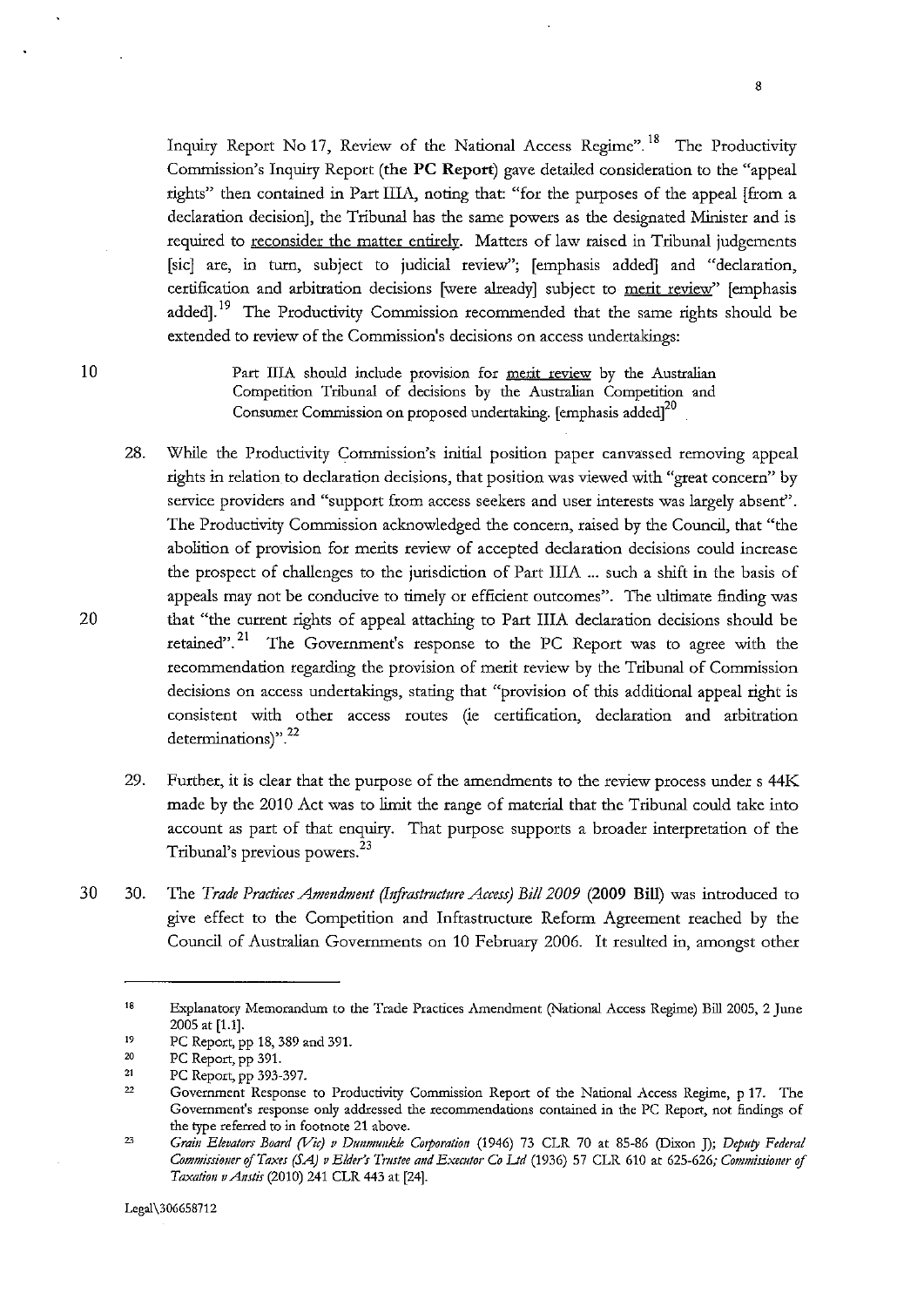Inquiry Report No 17, Review of the National Access Regime".<sup>18</sup> The Productivity Commission's Inquiry Report (the PC Report) gave detailed consideration to the "appeal tights" then contained in Part IliA, noting that: "for the purposes of the appeal [from a declaration decision], the Tribunal has the same powers as the designated Minister and is required to reconsider the matter entirely. Matters of law raised in Tribunal judgements [sic] are, in tum, subject to judicial review"; [emphasis added] and "declaration, certification and arbitration decisions [were already] subject to merit review" [emphasis added].<sup>19</sup> The Productivity Commission recommended that the same rights should be extended to review of the Commission's decisions on access undertakings:

10 Part IIIA should include provision for merit review by the Australian Competition Tribunal of decisions by the Australian Competition and Consumer Commission on proposed undertaking. [emphasis added]<sup>20</sup>

- 28. While the Productivity Commission's initial position paper canvassed removing appeal rights in relation to declaration decisions, that position was viewed with "great concern" by service providers and "support from access seekers and user interests was largely absent". The Productivity Commission acknowledged the concern, raised by the Council, that "the abolition of provision for merits review of accepted declaration decisions could increase the prospect of challenges to the jurisdiction of Part IliA ... such a shift in the basis of appeals may not be conducive to timely or efficient outcomes". The ultimate finding was that "the current rights of appeal attaching to Part IliA declaration decisions should be retained".<sup>21</sup> The Government's response to the PC Report was to agree with the recommendation regarding the provision of merit review by the Tribunal of Commission decisions on access undertakings, stating that "provision of this additional appeal right is consistent with other access routes (ie certification, declaration and arbitration **determinations)".** <sup>22</sup>
- 29. Further, it is clear that the purpose of the amendments to the review process under s 44K made by the 2010 Act was to limit the range of material that the Tribunal could take into account as part of that enquiry. That purpose supports a broader interpretation of the Tribunal's previous powers. 23
- 30 30. The *Trade Practices Amendment (bifrastructure Access) Bi/12009* (2009 Bill) was introduced to give effect to the Competition and Infrastructure Reform Agreement reached by the Council of Australian Governments on 10 February 2006. It resulted in, amongst other

<sup>18</sup>  **Explanatory Memorandum to the Trade Practices Amendment (National Access Regime) Bill 2005, 2 June**  2005 at [1.1].

<sup>19</sup>  PC Report, pp 18, 389 and 391.

<sup>20</sup>  PC Report, pp 391.

<sup>21</sup>  PC Report, pp 393-397.

<sup>22</sup>  **Government Response to Productivity Commission Report of the National Access Regime, p 17. The Government's response only addressed the recommendations contained in the PC Report, not findings of the type referred to in footnote 21 above.** 

<sup>23</sup>  *Grai11 Elevators Board (Vic) v Dtmmuukle Corporation* (1946) 73 CLR 70 at 85-86 (Dixon J); *Deputy Federal Comn!lSsiomr f!!Taxes* **(SA)** *v Elder's Tmstee and Executor Co Ltd* **(1936) 57 CLR 610 at 625-626;** *Commissioner* **o/**  *Taxatiou vAustis* (2010) 241 CLR 443 at [24].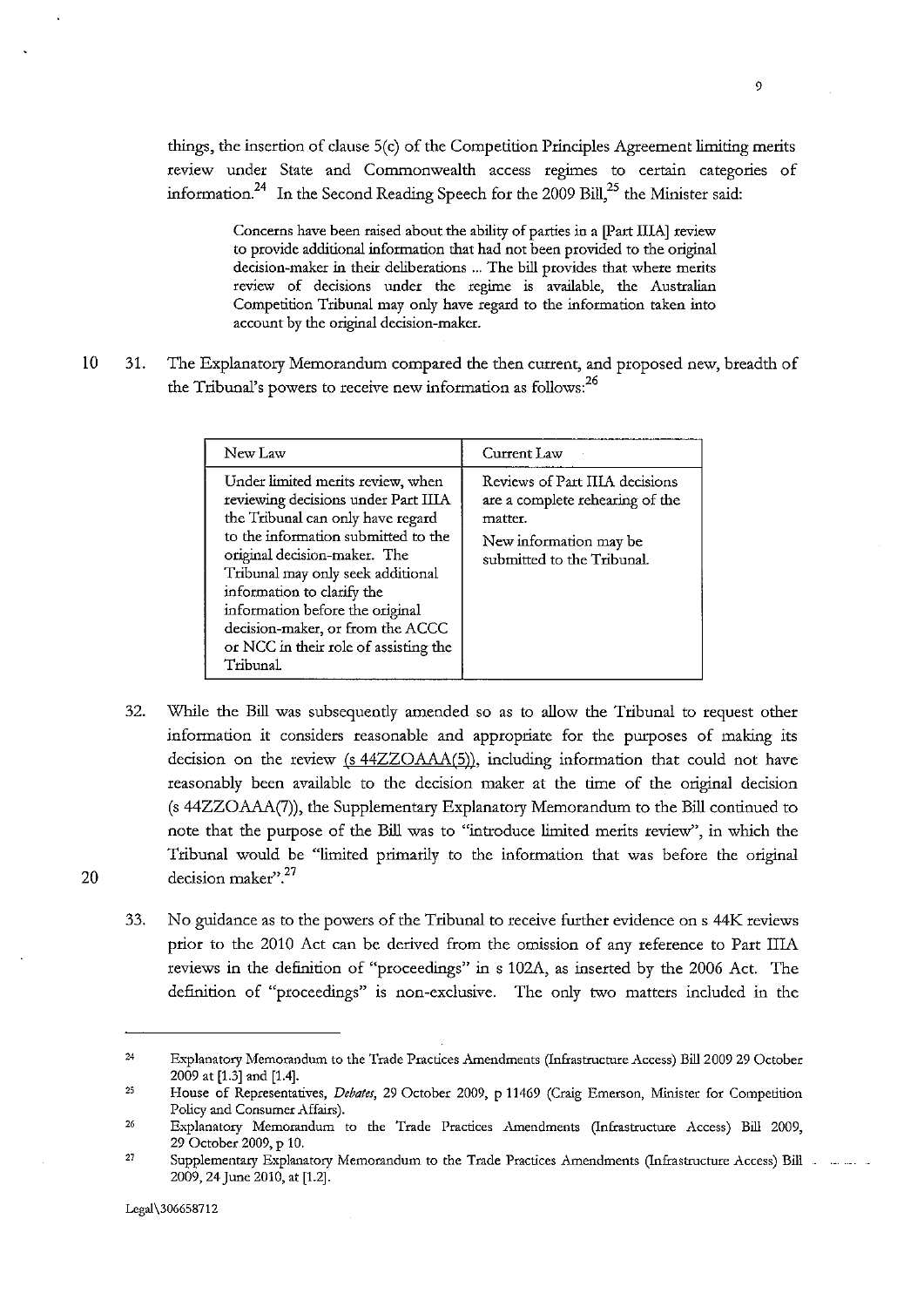things, the insertion of clause 5(c) of the Competition Principles Agreement limiting merits review under State and Commonwealth access regimes to certain categories of information.<sup>24</sup> In the Second Reading Speech for the 2009 Bill,<sup>25</sup> the Minister said:

> Concerns have been raised about the ability of parties in a [Part IliA] review to provide additional information that had not been provided to the original **decision-maker in their deliberations ... The bill provides that where merits review of decisions under the regime is available, the Australian**  Competition Tribunal may only have regard to the information taken into **account by the original decision-maker.**

10 31. The Explanatory Memorandum compared the then current, and proposed new, breadth of the Tribunal's powers to receive new information as follows:<sup>26</sup>

| New Law                                                                                                                                                                                                                                                                                                                                                                              | Current Law                                                                                                                          |
|--------------------------------------------------------------------------------------------------------------------------------------------------------------------------------------------------------------------------------------------------------------------------------------------------------------------------------------------------------------------------------------|--------------------------------------------------------------------------------------------------------------------------------------|
| Under limited merits review, when<br>reviewing decisions under Part IIIA<br>the Tribunal can only have regard<br>to the information submitted to the<br>original decision-maker. The<br>Tribunal may only seek additional<br>information to clarify the<br>information before the original<br>decision-maker, or from the ACCC<br>or NCC in their role of assisting the<br>Tribunal. | Reviews of Part IIIA decisions<br>are a complete rehearing of the<br>matter.<br>New information may be<br>submitted to the Tribunal. |

- 32. While the Bill was subsequendy amended so as to allow the Tribunal to request other information it considers reasonable and appropriate for the purposes of making its decision on the review (s 44ZZOAAA(5)), including information that could not have reasonably been available to the decision maker at the time of the original decision (s 44ZZOAAA(7)), the Supplementary Explanatory Memorandum to the Bill continued to note that the purpose of the Bill was to "introduce limited merits review", in which the Tribunal would be "limited primarily to the information that was before the original 20 decision maker".<sup>27</sup>
	- 33. No guidance as to the powers of the Tribunal to receive further evidence on s 44K reviews prior to the 2010 Act can be derived from the omission of any reference to Part IIIA reviews in the definition of "proceedings" in s 102A, as inserted by the 2006 Act. The definition of "proceedings" is non-exclusive. The only two matters included in the

<sup>24</sup>  **Explanatory Memorandum to the Trade Practices Amendments (Infrastructure Access) Bill2009 29 October**  2009 at [1.3] and [1.4].

<sup>25</sup>  **House of Representatives,** *Debates,* **29 October 2009, p 11469 (Craig Emerson, Minister for Competition Policy and Consumer Affairs).** 

<sup>26</sup>  **Explanatory Memorandum to the Trade Practices Amendments (Infrastructure Access) Bill 2009,**  29 October 2009, p 10.

<sup>27</sup>  **Supplementary Explanatory Memorandum to the Trade Practices Amendments (Infrastructure Access) Bill**  2009, 24 June 2010, at [1.2].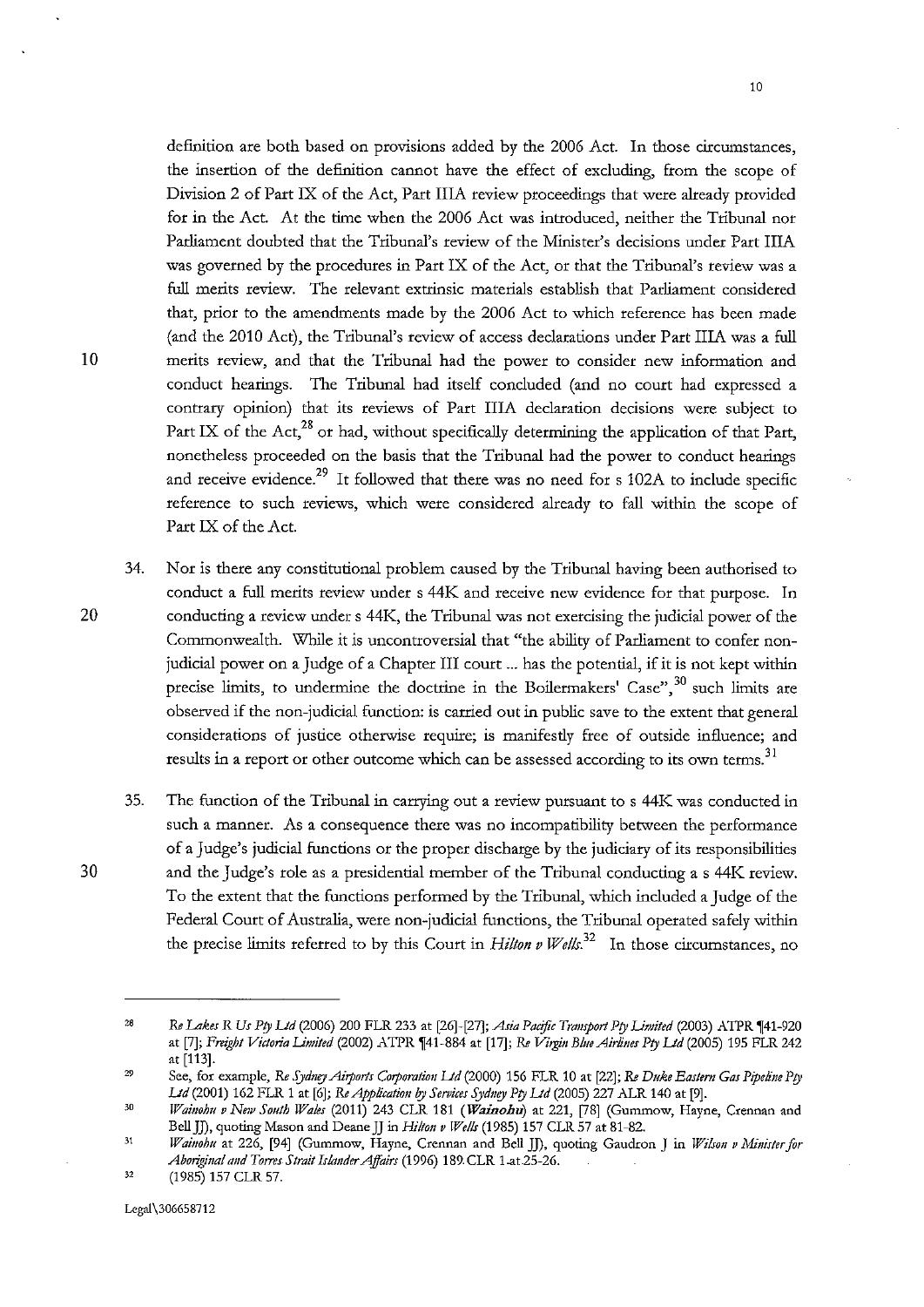definition are both based on provisions added by the 2006 Act. In those circumstances, the insertion of the definition cannot have the effect of excluding, from the scope of Division 2 of Part IX of the Act, Part IliA review proceedings that were already provided for in the Act. At the time when the 2006 Act was introduced, neither the Tribunal nor Parliament doubted that the Tribunal's review of the Minister's decisions under Part IliA was governed by the procedures in Part IX of the Act, or that the Tribunal's review was a full merits review. The relevant extrinsic materials establish that Parliament considered that, prior to the amendments made by the 2006 Act to which reference has been made (and the 2010 Act), the Tribunal's review of access declarations under Part IliA was a full 10 merits review, and that the Tribunal had the power to consider new information and conduct hearings. The Tribunal had itself concluded (and no court had expressed a contrary opinion) that its reviews of Part IliA declaration decisions were subject to Part IX of the Act, $^{28}$  or had, without specifically determining the application of that Part, nonetheless proceeded on the basis that the Tribunal had the power to conduct hearings and receive evidence.<sup>29</sup> It followed that there was no need for s 102A to include specific reference to such reviews, which were considered already to fall within the scope of Part IX of the Act.

- 34. Nor is there any constitutional problem caused by the Tribunal having been authorised to conduct a full merits review under s 44K and receive new evidence for that purpose. In 20 conducting a review under s 44K, the Tribunal was not exercising the judicial power of the Commonwealth. While it is uncontroversial that "the ability of Parliament to confer nonjudicial power on a Judge of a Chapter III court ... has the potential, if it is not kept within precise limits, to undermine the doctrine in the Boilermakers' Case",  $30$  such limits are observed if the non-judicial function: is carried out in public save to the extent that general considerations of justice otherwise require; is manifesdy free of outside influence; and results in a report or other outcome which can be assessed according to its own terms.<sup>31</sup>
- 35. The function of the Tribunal in carrying out a review pursuant to s 44K was conducted in such a manner. As a consequence there was no incompatibility between the performance of a Judge's judicial functions or the proper discharge by the judiciary of its responsibilities 30 and the Judge's role as a presidential member of the Tribunal conducting as 44K review. To the extent that the functions performed by the Tribunal, which included a Judge of the Federal Court of Australia, were non-judicial functions, the Tribunal operated safely within the precise limits referred to by this Court in *Hilton v Wells*.<sup>32</sup> In those circumstances, no

<sup>28</sup>  *Re Lakes R Us Pty Ud* (2006) 200 FLR 233 at [26]-[27]; *Asia Pacific Transport Pty Limited* (2003) ATPR '1[41-920 at [7]; *Freight Victoria Limited (2002) ATPR [41-884 at [17]; Re Virgin Blue Airlines Pty Ltd (2005) 195 FLR 242* at [113].

<sup>29</sup>  See, for example, *Re SydmyAiports Corporation Lid* (2000) 156 FLR 10 at [22]; *Re Duke Eastern Gas Pipeline Pty Ud* (2001) 162 FLR 1 at [6]; *ReApplicatiou 1y Services Sydney Pty Ud* (2005) 227 ALR 140 at [9].

<sup>30</sup> *Waiuohu v New South Wales* (2011) 243 CLR 181 *(Wainohu)* at 221, [78] (Gummow, Hayne, Crennan and Bell JJ), quoting Mason and Deane JJ in *Hilton v Wellr* (1985) 157 CLR 57 at 81-82.

<sup>31</sup>  *Wainohu* **at 226, [94] (Gummow, Hayne, Crennan and Bell JJ), quoting Gaudron J in** *Wilron v Minister for Aboriginal and Toms Strait Iskmder Affairs* (1996) 189. CLR 1.at25-26.

<sup>32</sup>  (1985) 157 CLR 57.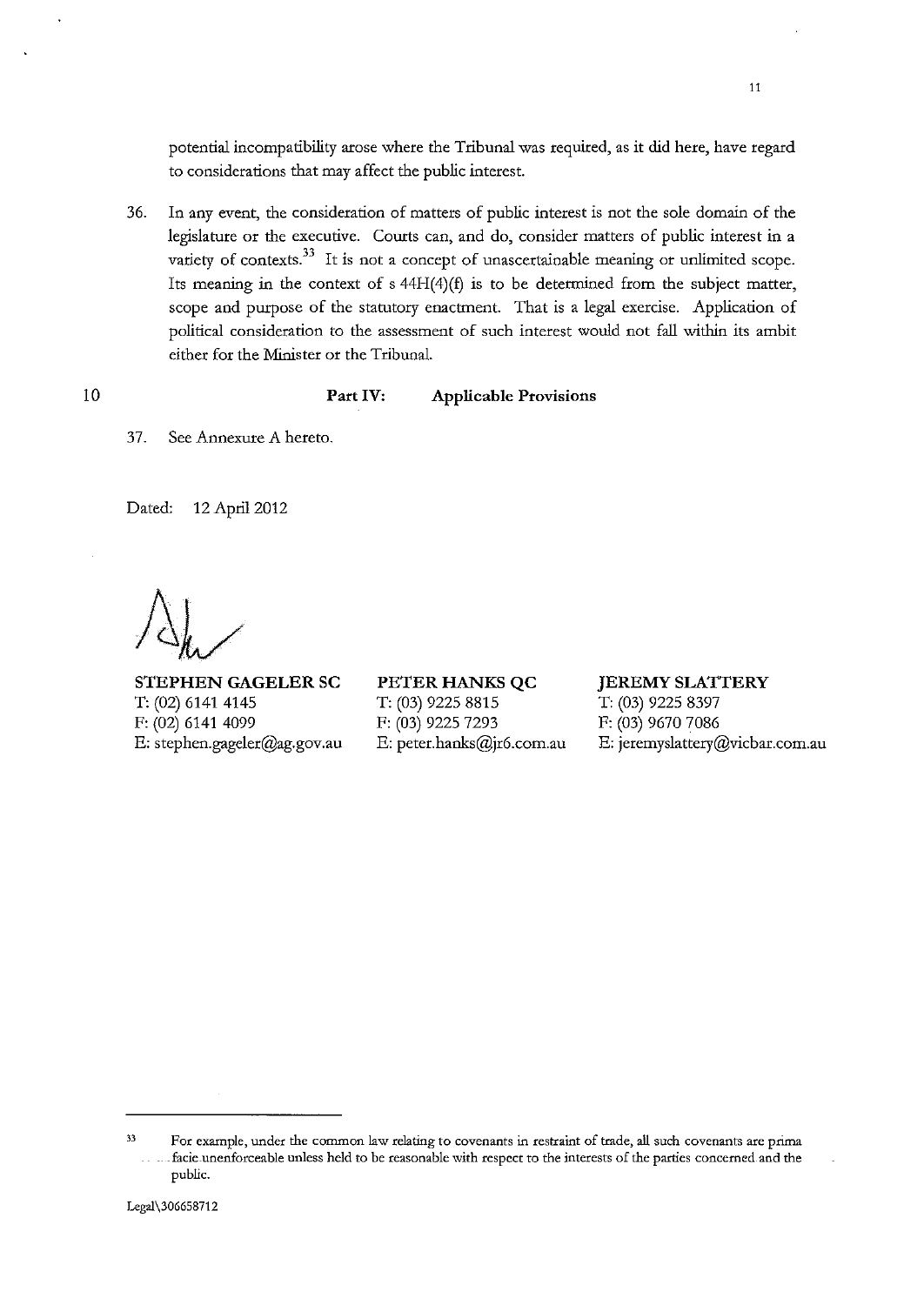potential incompatibility arose where the Tribunal was required, as it did here, have regard to considerations that may affect the public interest.

36. In any event, the consideration of matters of public interest is not the sole domain of the legislature or the executive. Courts can, and do, consider matters of public interest in a variety of contexts.<sup>33</sup> It is not a concept of unascertainable meaning or unlimited scope. Its meaning in the context of s 44H(4)(f) is to be determined from the subject matter, scope and purpose of the statutory enactment. That is a legal exercise. Application of political consideration to the assessment of such interest would not fall within its ambit either for the Minister or the Tribunal.

# Part IV: Applicable Provisions

37. See Annexure A hereto.

Dated: 12 April 2012

10

STEPHEN GAGELER SC T: (02) 6141 4145 F: (02) 6141 4099 E: stephen.gageler@ag.gov.au PETER HANKS QC T: (03) 9225 8815 F: (03) 9225 7293 E: peter.hanks@jr6.com.au

#### JEREMY SLATTERY

T: (03) 9225 8397 F: (03) 9670 7086 E: jeremyslattery@vicbar.com.au

<sup>33</sup>**For example, under the common law relating to covenants in restraint of trade, all such covenants are prima**  - **-facie-unenforceable unless held to be reasonable with respect to the interests of the parties concerned. and the**  public.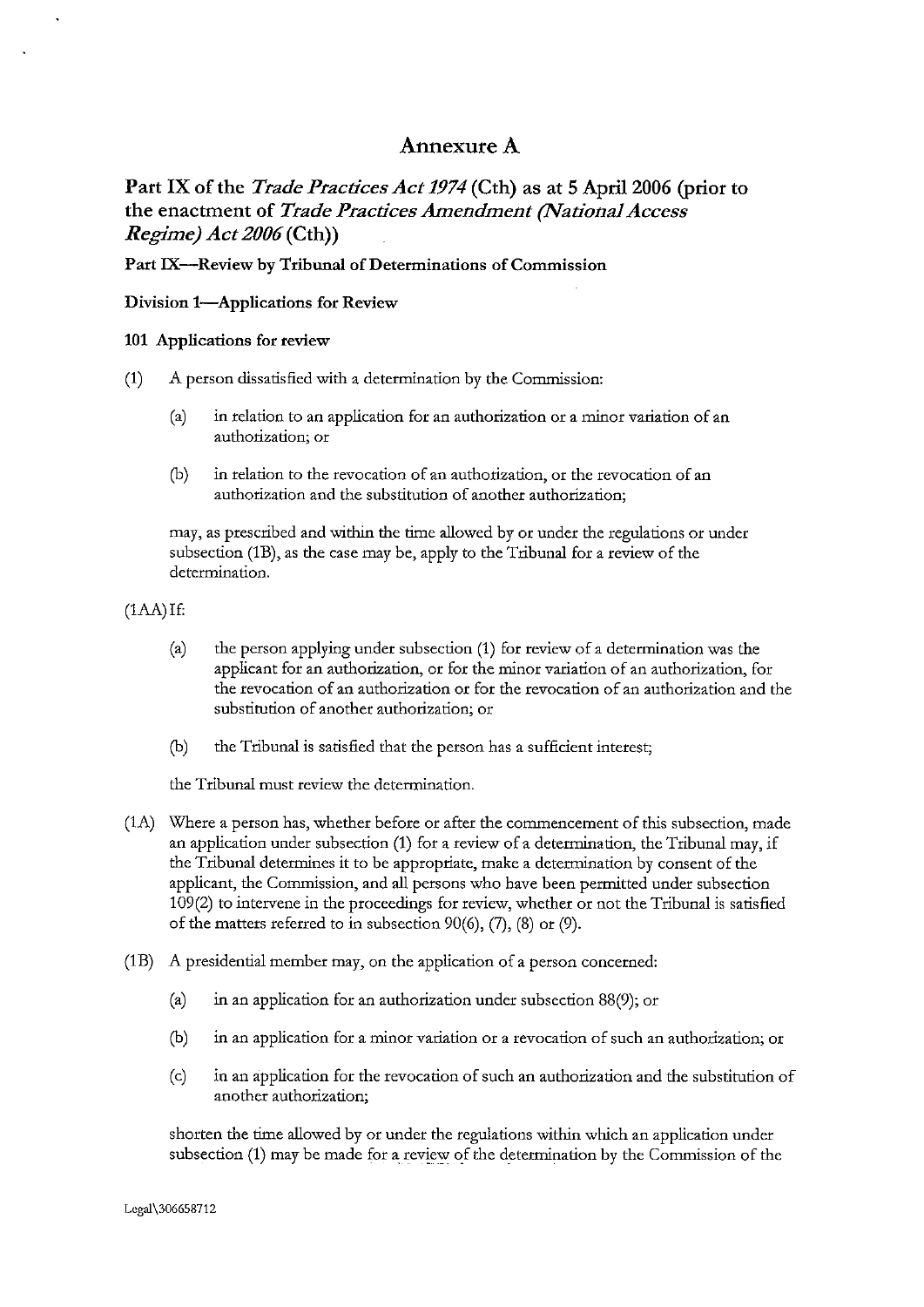# Annexure A

Part IX of the *Trade Practices Act 1974* (Cth) as at 5 April 2006 (prior to the enactment of *Trade Practices Amendment (National Access Regime) Act* 2006(Cth))

Part IX--Review by Tribunal of Determinations of Commission

Division 1-Applications for Review

#### 101 Applications for review

- (1) A person dissatisfied with a determination by the Commission:
	- (a) in relation to an application for an authorization or a minor variation of an **authorization; or**
	- **(b) in relation to the revocation of an authorization, or the revocation of an**  authorization and the substitution of another authorization;

may, as prescribed and within the time allowed by or under the regulations or under subsection (1B), as the case may be, apply to the Tribunal for a review of the determination.

(1AA)If:

- (a) the person applying under subsection (1) for review of a determination was the applicant for an authorization, or for the minor variation of an authorization, for the revocation of an authorization or for the revocation of an authorization and the substitution of another authorization; or
- (b) the Tribunal is satisfied that the person has a sufficient interest;

the Tribunal must review the determination.

- (1A) Where a person has, whether before or after the commencement of this subsection, made an application under subsection (1) for a review of a determination, the Tribunal may, if the Tribunal determines it to be appropriate, make a determination by consent of the applicant, the Commission, and all persons who have been permitted under subsection 109(2) to intervene in the proceedings for review, whether or not the Tribunal is satisfied of the matters referred to in subsection 90(6), (7), (8) or (9).
- (1B) A presidential member may, on the application of a person concerned:
	- (a) in an application for an authorization under subsection 88(9); or
	- **(b) in an application for a minor variation or a revocation of such an authorization; or**
	- (c) in an application for the revocation of such an authorization and the substitution of **another authorization;**

shorten the time allowed by or under the regulations within which an application under subsection (1) may be made for a review of the determination by the Commission of the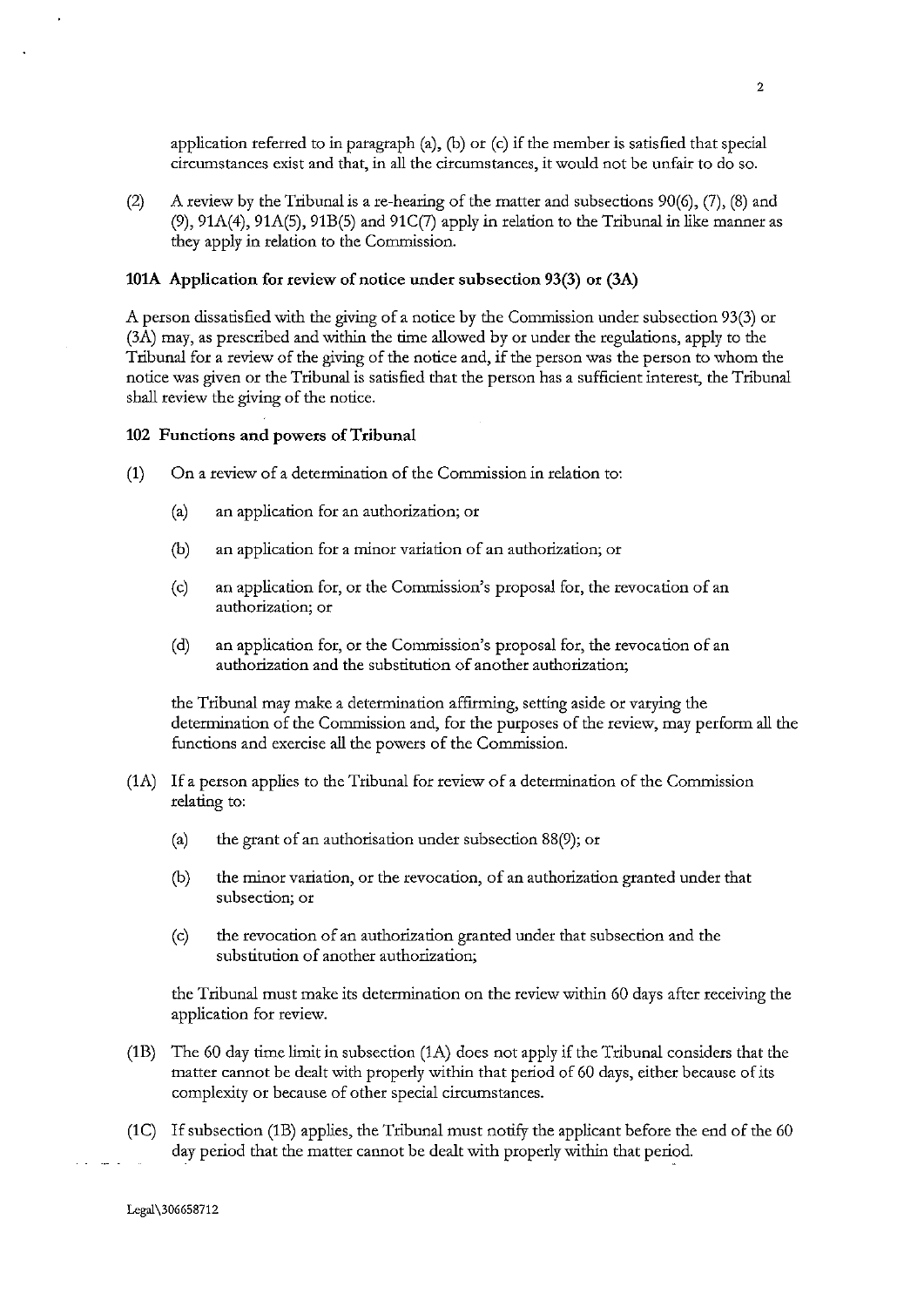application referred to in paragraph  $(a)$ ,  $(b)$  or  $(c)$  if the member is satisfied that special circumstances exist and that, in all the circumstances, it would not be unfair to do so.

(2) A review by the Tribunal is a re-hearing of the matter and subsections  $90(6)$ , (7), (8) and  $(9)$ ,  $91A(4)$ ,  $91A(5)$ ,  $91B(5)$  and  $91C(7)$  apply in relation to the Tribunal in like manner as they apply in relation to the Commission.

#### lOlA Application for review of notice under subsection 93(3) or (3A)

A person dissatisfied with the giving of a notice by the Commission under subsection 93(3) or (3A) may, as prescribed and within the time allowed by or under the regulations, apply to the Tribunal for a review of the giving of the notice and, if the person was the person to whom the notice was given or the Tribunal is satisfied that the person has a sufficient interest, the Tribunal shall review the giving of the notice.

#### 102 Functions and powers of Tribunal

- (1) On a review of a determination of the Commission in relation to:
	- (a) an application for an authorization; or
	- (b) an application for a minor variation of an authorization; or
	- (c) an application for, or the Commission's proposal for, the revocation of an **authorization; or**
	- (d) an application for, or the Commission's proposal for, the revocation of an **authorization and the substitution of another authorization;**

the Tribunal may make a determination affirming, setting aside or varying the determination of the Commission and, for the purposes of the review, may perform all the functions and exercise all the powers of the Commission.

- (1A) If a person applies to the Tribunal for review of a determination of the Commission relating to:
	- (a) the grant of an authorisation under subsection 88(9); or
	- **(b) the minor variation, or the revocation, of an authorization granted under that subsection; or**
	- (c) the revocation of an authorization granted under that subsection and the substitution of another authorization;

the Tribunal must make its determination on the review within 60 days after receiving the application for review.

- (1B) The 60 day time limit in subsection (1A) does not apply if the Tribunal considers that the matter cannot be dealt with properly within that period of 60 days, either because of its complexity or because of other special circumstances.
- (1C) If subsection (1B) applies, the Tribunal must notify the applicant before the end of the 60 day period that the matter cannot be dealt with properly within that period.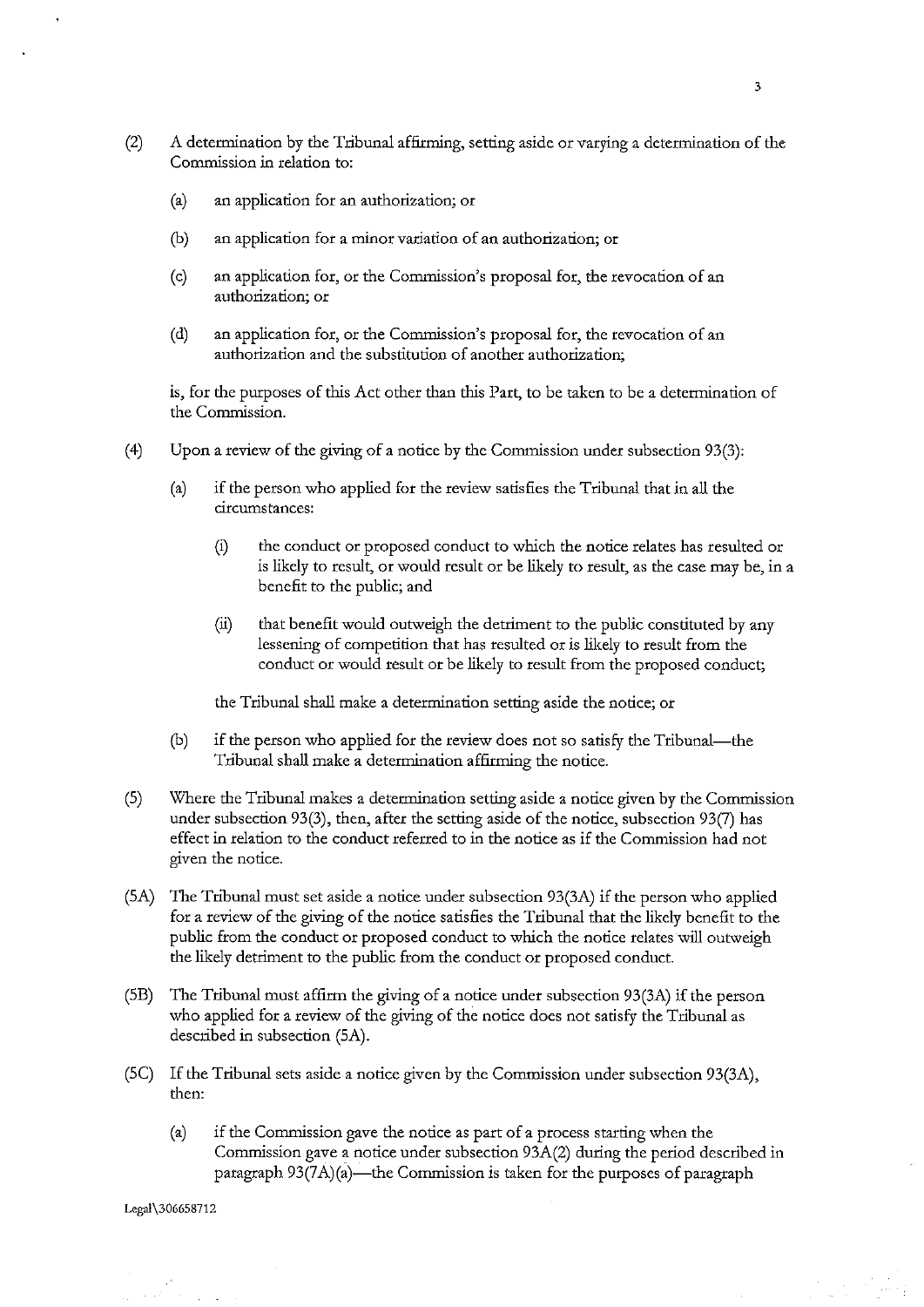- (2) A determination by the Tribunal affirming, setting aside or varying a determination of the Commission in relation to:
	- (a) an application for an authorization; or
	- (b) an application for a minor variation of an authorization; or
	- (c) an application for, or the Commission's proposal for, the revocation of an **authorization; or**
	- (d) an application for, or the Commission's proposal for, the revocation of an authorization and the substitution of another authorization;

is, for the purposes of this Act other than this Part, to be taken to be a determination of the Commission.

- (4) Upon a review of the giving of a notice by the Commission under subsection 93(3):
	- (a) if the person who applied for the review satisfies the Tribunal that in all the **circumstances:** 
		- (i) the conduct or proposed conduct to which the notice relates has resulted or is likely to result, or would result or be likely to result, as the case may be, in a benefit to the public; and
		- (ii) that benefit would outweigh the detriment to the public constituted by any lessening of competition that has resulted or is likely to result from the conduct or would result or be likely to result from the proposed conduct;

the Tribunal shall make a determination setting aside the notice; or

- (b) if the person who applied for the review does not so satisfy the Tribunal-the Tribunal shall make a determination affirming the notice.
- (S) Where the Tribunal makes a determination setting aside a notice given by the Commission under subsection 93(3), then, after the setting aside of the notice, subsection 93(7) has effect in relation to the conduct referred to in the notice as if the Commission had not given the notice.
- (SA) The Tribunal must set aside a notice under subsection 93(3A) if the person who applied for a review of the giving of the notice satisfies the Tribunal that the likely benefit to the public from the conduct or proposed conduct to which the notice relates will outweigh the likely detriment to the public from the conduct or proposed conduct.
- (SB) The Tribunal must affirm the giving of a notice under subsection 93(3A) if the person who applied for a review of the giving of the notice does not satisfy the Tribunal as described in subsection (SA).
- (SC) If the Tribunal sets aside a notice given by the Commission under subsection 93(3A), then:
	- (a) if the Commission gave the notice as part of a process starting when the Commission gave a notice under subsection 93A(2) during the period described in paragraph  $93(7A)(a)$ —the Commission is taken for the purposes of paragraph

I.egal\306658712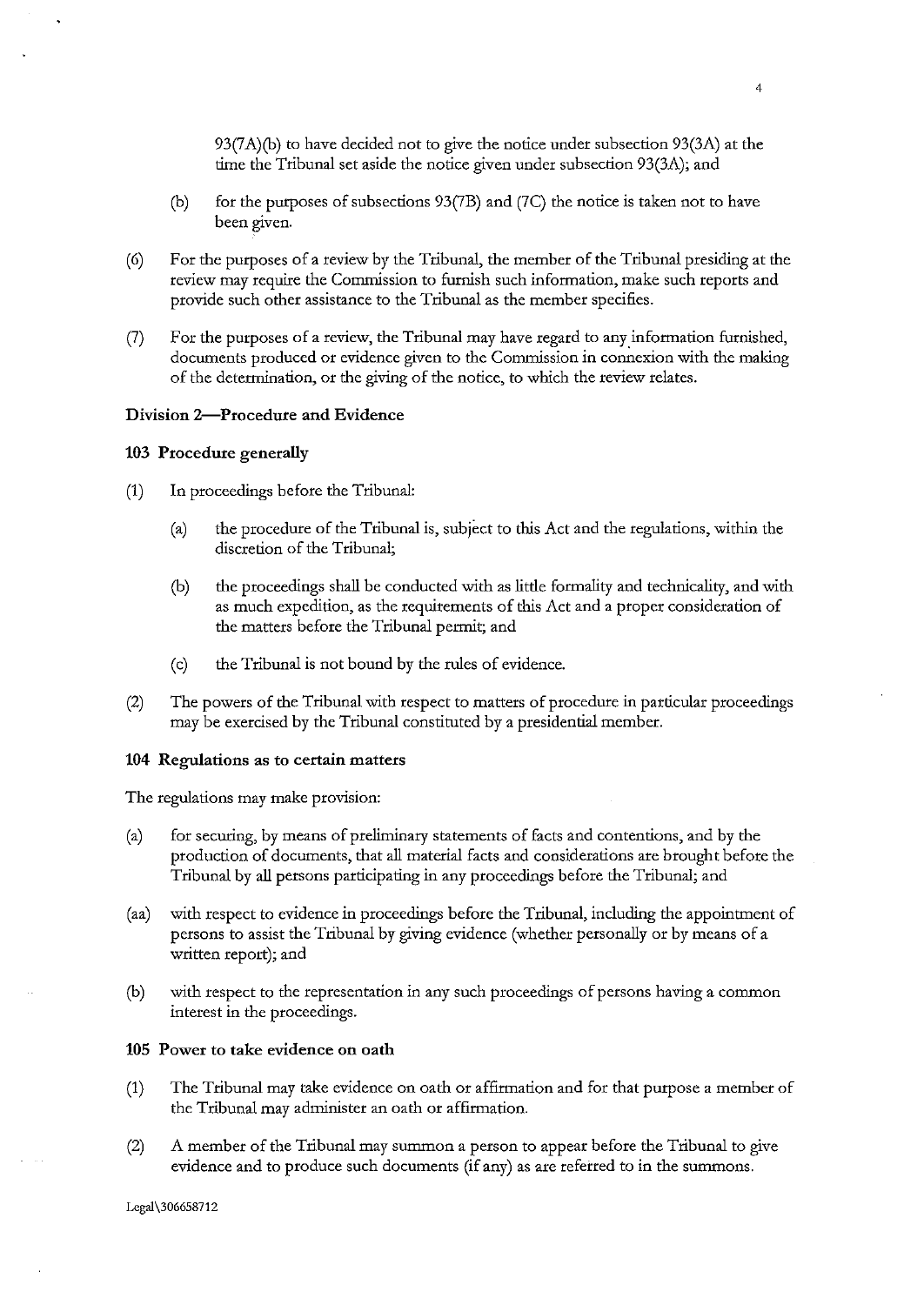93(7A)(b) to have decided not to give the notice under subsection 93(3A) at the time the Tribunal set aside the notice given under subsection 93(3A); and

- (b) for the purposes of subsections 93(7B) and (7C) the notice is taken not to have been given.
- (6) For the purposes of a review by the Tribunal, the member of the Tribunal presiding at the review may require the Commission to furnish such information, make such reports and provide such other assistance to the Tribunal as the member specifies.
- (7) For the purposes of a review, the Tribunal may have regard to any information furnished, documents produced or evidence given to the Commission in connexion with the making of the determination, or the giving of the notice, to which the review relates.

## Division 2-Procedure and Evidence

#### 103 Procedure generally

- (1) In proceedings before the Tribunal:
	- (a) the procedure of the Tribunal is, subject to this Act and the regulations, within the discretion of the Tribunal;
	- (b) the proceedings shall be conducted with as little formality and technicality, and with as much expedition, as the requirements of this Act and a proper consideration of the matters before the Tribunal permit; and
	- (c) the Tribunal is not bound by the rules of evidence.
- (2) The powers of the Tribunal with respect to matters of procedure in particular proceedings may be exercised by the Tribunal constituted by a presidential member.

#### 104 Regulations as to certain matters

The regulations may make provision:

- (a) for securing, by means of preliminary statements of facts and contentions, and by the production of documents, that all material facts and considerations are brought before the Tribunal by all persons participating in any proceedings before the Tribunal; and
- (aa) with respect to evidence in proceedings before the Tribunal, including the appointment of persons to assist the Tribunal by giving evidence (whether personally or by means of a written report); and
- (b) with respect to the representation in any such proceedings of persons having a common interest in the proceedings.

#### 105 Power to take evidence on oath

- (1) The Tribunal may take evidence on oath or affirmation and for that purpose a member of the Tribunal may administer an oath or affirmation.
- (2) A member of the Tribunal may summon a person to appear before the Tribunal to give evidence and to produce such documents (if any) as are referred to in the summons.

Lcgal\306658712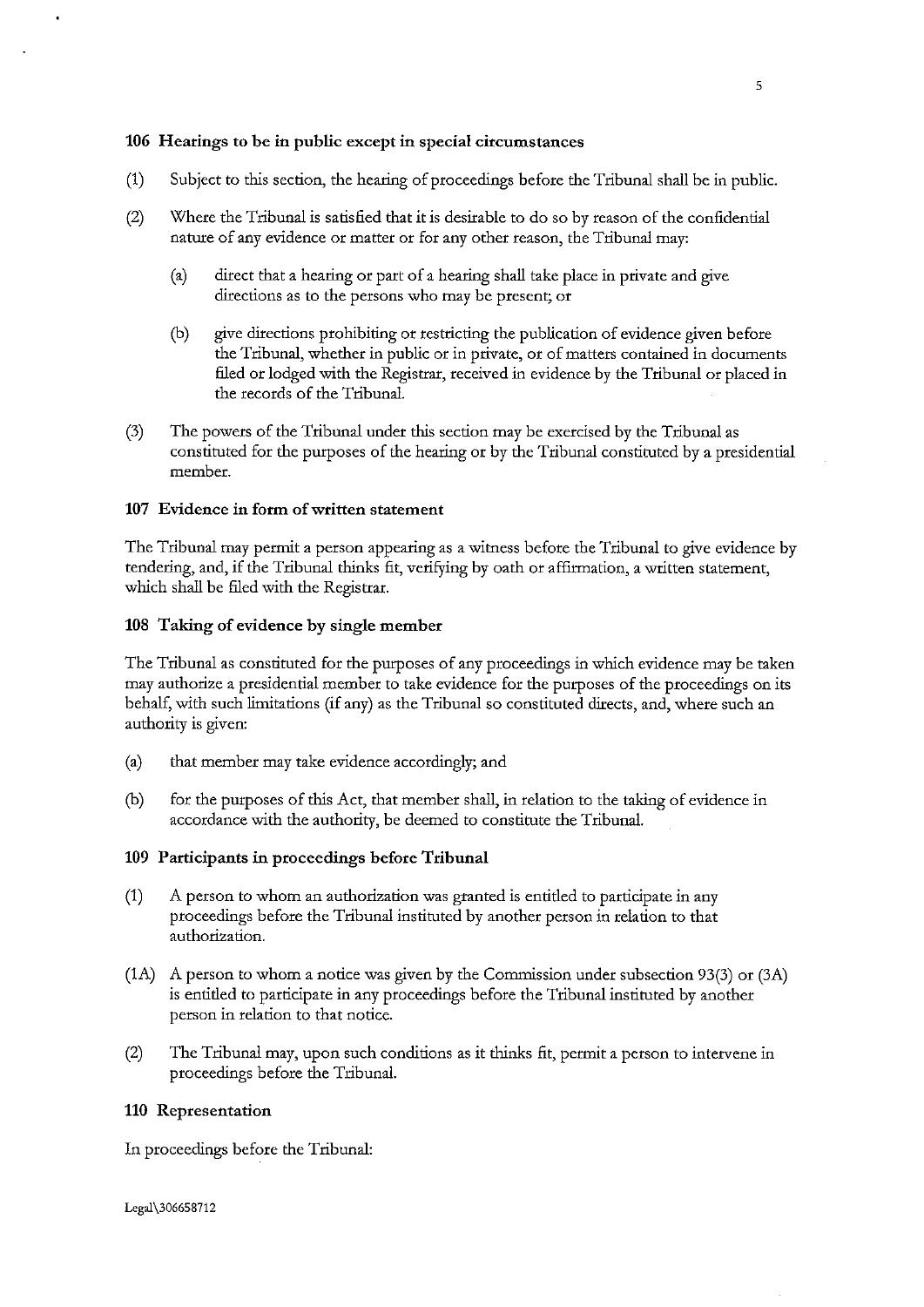# 106 Hearings to be in public except in special circumstances

- (1) Subject to this section, the hearing of proceedings before the Tribunal shall be in public.
- (2) Where the Tribunal is satisfied that it is desirable to do so by reason of the confidential nature of any evidence or matter or for any other reason, the Tribunal may:
	- (a) direct that a hearing or part of a hearing shall take place in private and give directions as to the persons who may be present; or
	- (b) *give* directions prohibiting or restricting the publication of evidence given before the Tribunal, whether in public or in private, or of matters contained in documents filed or lodged with the Registrar, received in evidence by the Tribunal or placed in the records of the Tribunal.
- (3) The powers of the Tribunal under this section may be exercised by the Tribunal as constituted for the purposes of the hearing or by the Tribunal constituted by a presidential **member.**

# 107 Evidence in form of written statement

The Tribunal may permit a person appearing as a witness before the Tribunal to give evidence by tendering, and, if the Tribunal thinks fit, verifying by oath or affirmation, a written statement, which shall be filed with the Registrar.

#### 108 Taking of evidence by single member

The Tribunal as constituted for the purposes of any proceedings in which evidence may be taken may authorize a presidential member to take evidence for the purposes of the proceedings on its behalf, with such limitations (if any) as the Tribunal so constituted directs, and, where such an authority is given:

- (a) that member may take evidence accordingly; and
- (b) for the purposes of this Act, that member shall, in relation to the taking of evidence in accordance with the authority, be deemed to constitute the Tribunal.

#### 109 Participants in proceedings before Tribunal

- (1) A person to whom an authorization was granted is entitled to participate in any proceedings before the Tribunal instituted by another person in relation to that **authorization.**
- (1A) A person to whom a notice was given by the Commission under subsection 93(3) or (3A) is entitled to participate in any proceedings before the Tribunal instituted by another person in relation to that notice.
- (2) The Tribunal may, upon such conditions as it thinks fit, permit a person to intervene in proceedings before the Tribunal.

#### 110 Representation

In proceedings before the Tribunal: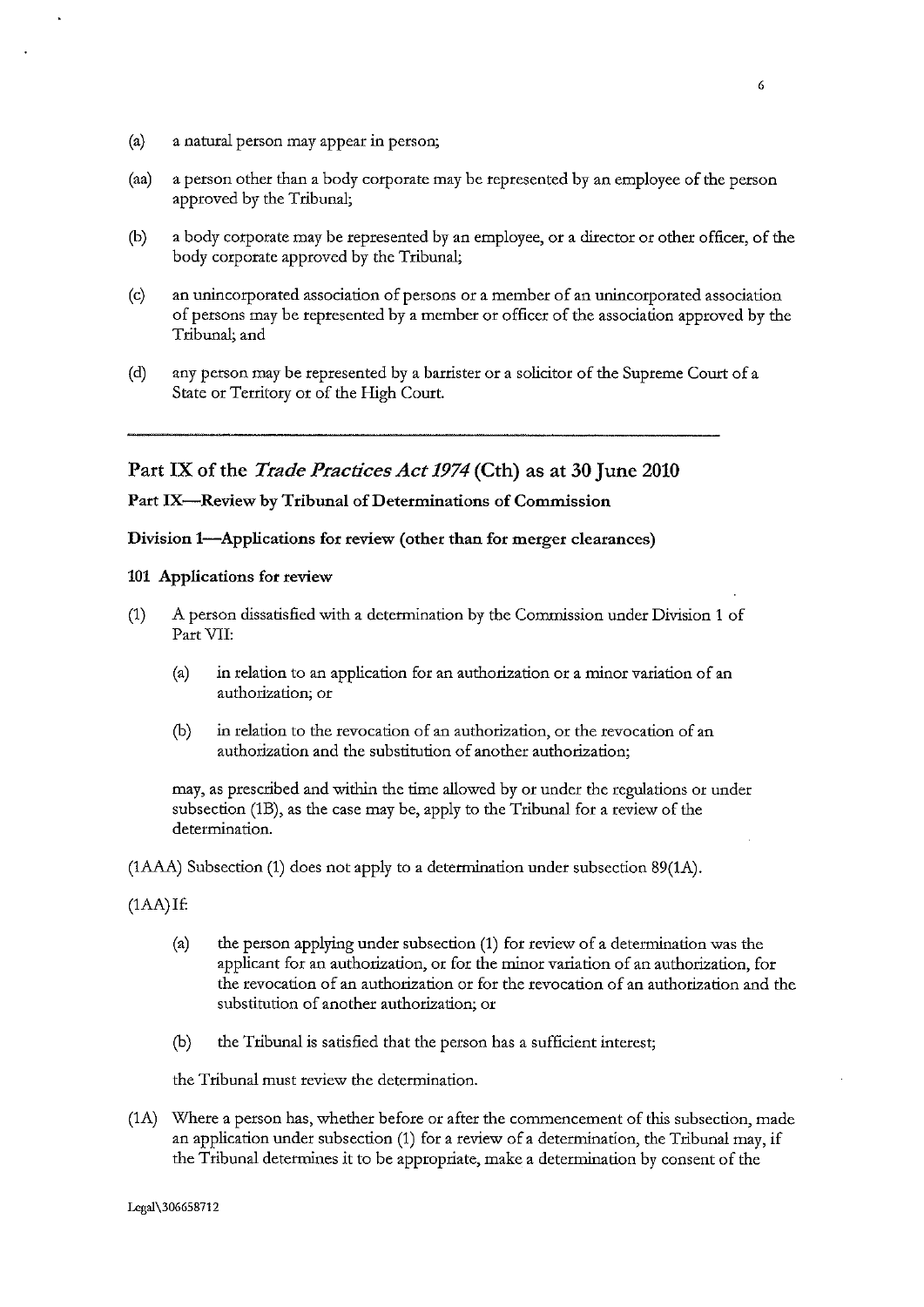- (a) a natural person may appear in person;
- (aa) a person other than a body corporate may be represented by an employee of the person approved by the Tribunal;
- (b) a body corporate may be represented by an employee, or a director or other officer, of the body corporate approved by the Tribunal;
- (c) an unincorporated association of persons or a member of an unincorporated association of persons may be represented by a member or officer of the association approved by the Tribunal; and
- (d) any person may be represented by a barrister or a solicitor of the Supreme Court of a State or Territory or of the High Court.

Part IX of the *Trade Practices Act 1974* (Cth) as at 30 June 2010

# Part IX-Review by Tribunal of Determinations of Commission

## Division 1—Applications for review (other than for merger clearances)

# 101 Applications for review

- (1) A person dissatisfied with a determination by the Commission under Division 1 of Part VII:
	- (a) in relation to an application for an authorization or a minor variation of an **authorization; or**
	- **(b) in relation** to the **revocation of an authorization, or the revocation of an**  authorization and the substitution of another authorization;

may, as prescribed and within the time allowed by or under the regulations or under subsection (1B), as the case may be, apply to the Tribunal for a review of the determination.

(1AAA) Subsection (1) does not apply to a determination under subsection 89(1A).

- (1AA)If:
	- (a) the person applying under subsection (1) for review of a determination was the applicant for an authorization, or for the minor variation of an authorization, for the revocation of an authorization or for the revocation of an authorization and the substitution of another authorization; or
	- (b) the Tribunal is satisfied that the person has a sufficient interest;

the Tribunal must review the determination.

(1A) Where a person has, whether before or after the commencement of this subsection, made an application under subsection (1) for a review of a determination, the Tribunal may, if the Tribunal determines it to be appropriate, make a determination by consent of the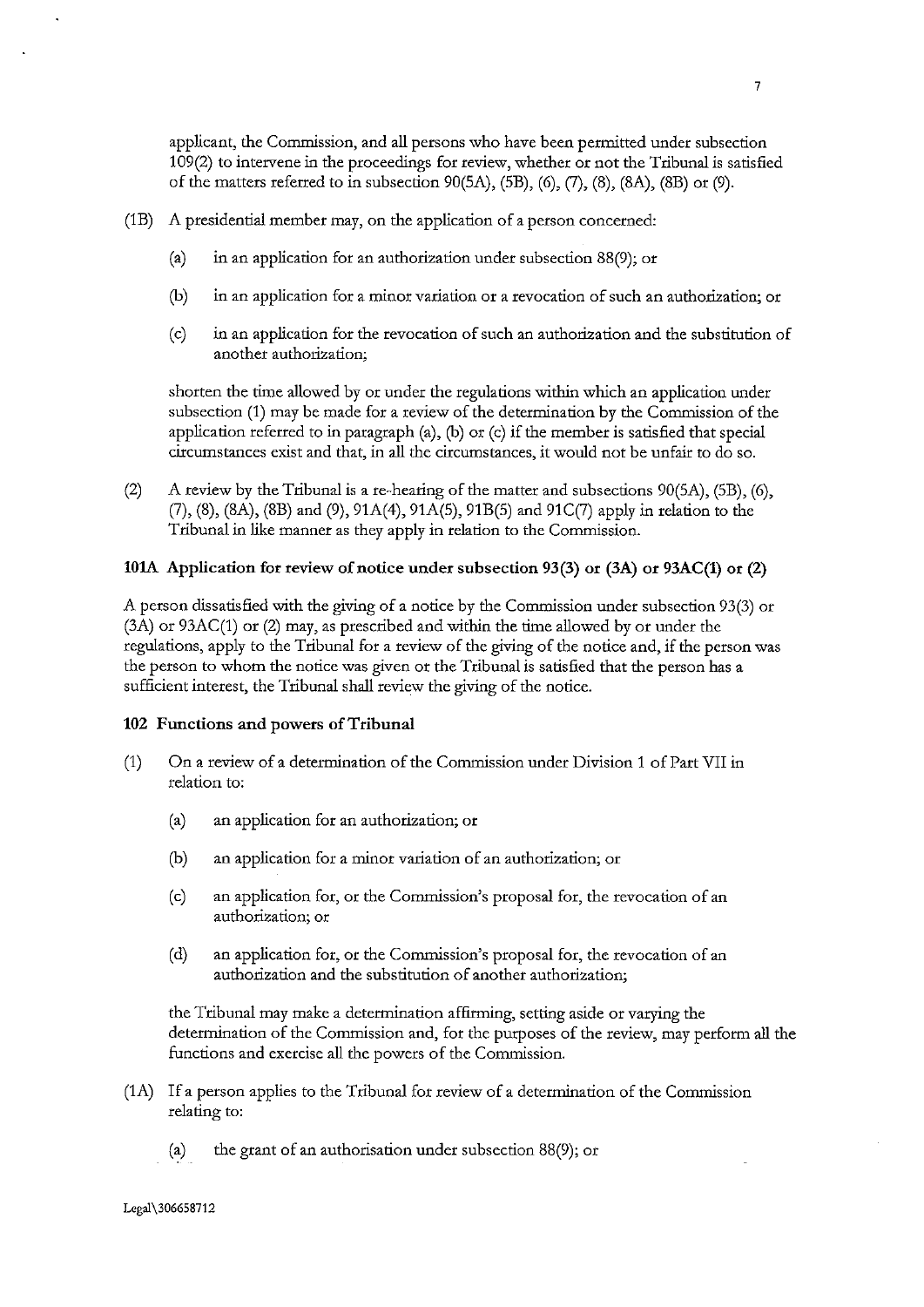applicant, the Commission, and all persons who have been permitted under subsection 109(2) to intervene in the proceedings for review, whether or not the Tribunal is satisfied of the matters referred to in subsection  $90(5A)$ ,  $(5B)$ ,  $(6)$ ,  $(7)$ ,  $(8)$ ,  $(8A)$ ,  $(8B)$  or  $(9)$ .

- (1B) A presidential member may, on the application of a person concerned:
	- (a) in an application for an authorization under subsection 88(9); or
	- (b) in an application for a minor variation or a revocation of such an authorization; or
	- (c) in an application for the revocation of such an authorization and the substitution of **another authorization;**

shorten the time allowed by or under the regulations within which an application under subsection (1) may be made for a review of the determination by the Commission of the application referred to in paragraph (a), (b) or (c) if the member is satisfied that special circumstances exist and that, in all the circumstances, it would not be unfair to do so.

(2) A review by the Tribunal is a re-hearing of the matter and subsections  $90(5A)$ ,  $(5B)$ ,  $(6)$ , (7), (8), (SA), (SB) and (9), 91A(4), 91A(5), 91B(5) and 91C(7) apply in relation to the Tribunal in like manner as they apply in relation to the Commission.

## 101A Application for review of notice under subsection 93(3) or  $(3A)$  or  $(93AC(1)$  or  $(2)$

A person dissatisfied with the giving of a notice by the Commission under subsection 93(3) or (3A) or 93AC(1) or (2) may, as prescribed and within the time allowed by or under the regulations, apply to the Tribunal for a review of the giving of the notice and, if the person was the person to whom the notice was given or the Tribunal is satisfied that the person has a sufficient interest, the Tribunal shall review the giving of the notice.

#### 102 Functions and powers of Tribunal

- (1) On a review of a determination of the Commission under Division 1 of Part VII in relation to:
	- (a) an application for an authorization; or
	- (b) an application for a minor variation of an authorization; or
	- (c) an application for, or the Commission's proposal for, the revocation of an **authorization; or**
	- (d) an application for, or the Commission's proposal for, the revocation of an authorization and the substitution of another authorization;

the Tribunal may make a determination affirming, setting aside or varying the determination of the Commission and, for the purposes of the review, may perform all the functions and exercise all the powers of the Commission.

- (1A) If a person applies to the Tribunal for review of a determination of the Commission relating to:
	- (a) the grant of an authorisation under subsection 88(9); or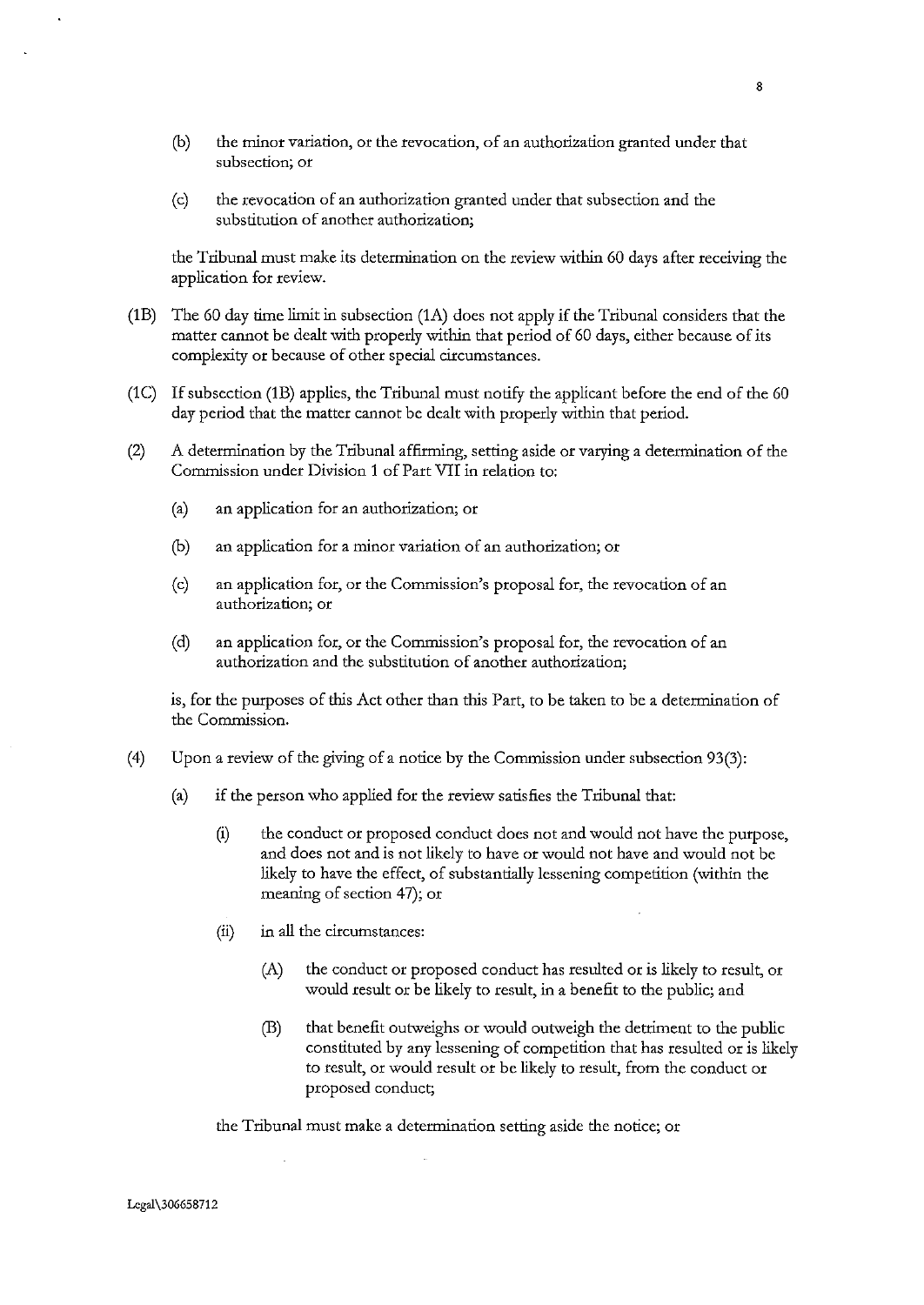- **(b) the minor variation, or the revocation, of an authorization granted under that subsection; or**
- (c) the revocation of an authorization granted under that subsection and the substitution of another authorization;

the Tribunal must make its determination on the review within 60 days after receiving the application for review.

- (lB) The 60 day time limit in subsection (lA) does not apply if the Tribunal considers that the matter cannot be dealt with properly within that period of 60 days, either because of its complexity or because of other special circumstances.
- (lC) If subsection (lB) applies, the Tribunal must notify the applicant before the end of the 60 day period that the matter cannot be dealt with properly within that period.
- (2) A determination by the Tribunal affirming, setting aside or varying a determination of the Commission under Division 1 of Part VII in relation to:
	- (a) an application for an authorization; or
	- (b) an application for a minor variation of an authorization; or
	- (c) an application for, or the Commission's proposal for, the revocation of an **authorization; or**
	- (d) an application for, or the Commission's proposal for, the revocation of an authorization and the substitution of another authorization;

is, for the purposes of this Act other than this Part, to be taken to be a determination of the Commission.

- (4) Upon a review of the giving of a notice by the Commission under subsection 93(3):
	- (a) if the person who applied for the review satisfies the Tribunal that:
		- (i) the conduct or proposed conduct does not and would not have the purpose, and does not and is not likely to have or would not have and would not be likely to have the effect, of substantially lessening competition (within the meaning of section 47); or
		- (ii) in all the circumstances:
			- (A) the conduct or proposed conduct has resulted or is likely to result, or would result or be likely to result, in a benefit to the public; and
			- (B) that benefit outweighs or would outweigh the detriment to the public constituted by any lessening of competition that has resulted or is likely to result, or would result or be likely to result, from the conduct or proposed conduct;

the Tribunal must make a determination setting aside the notice; or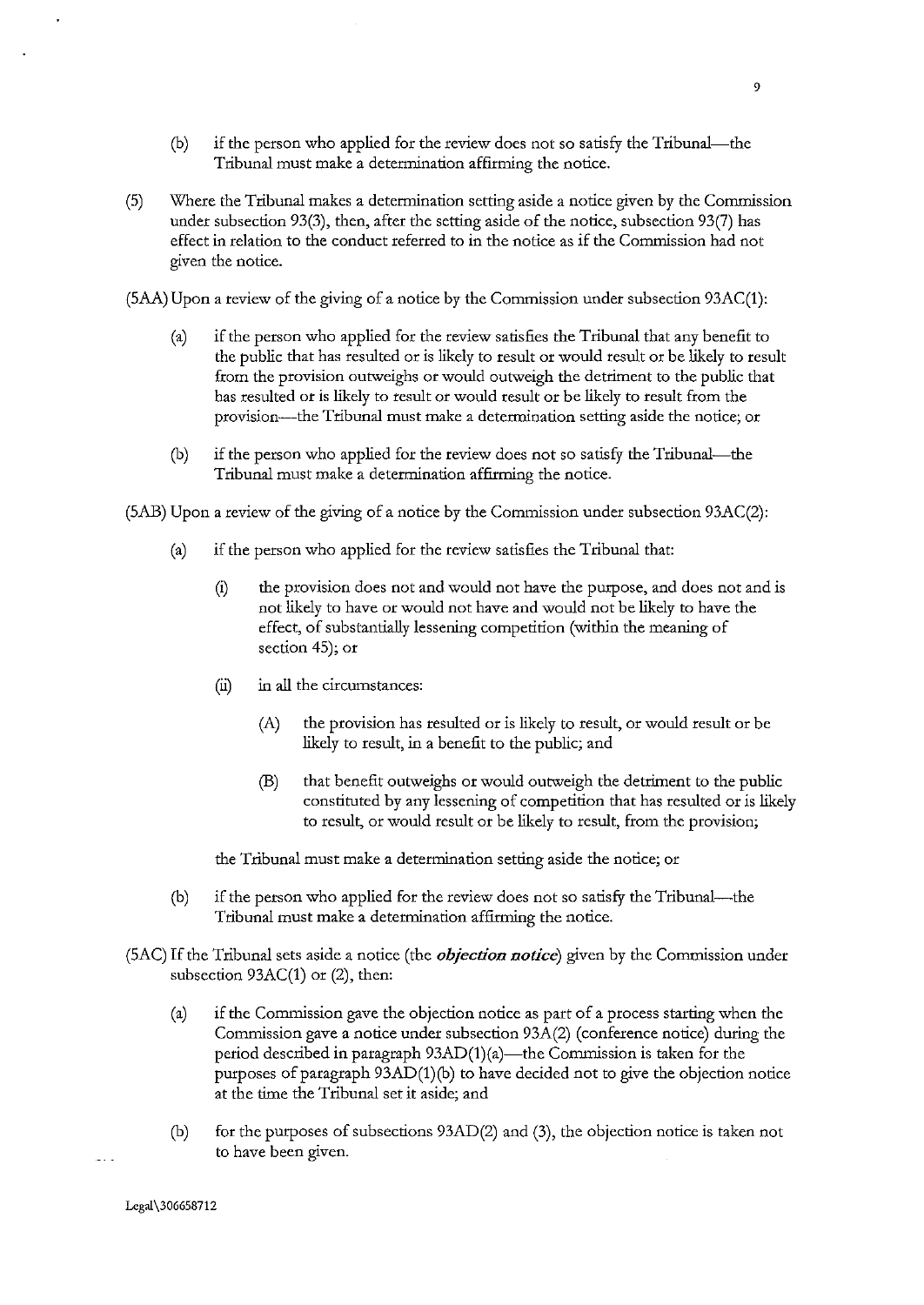- (b) if the person who applied for the review does not so satisfy the Tribunal-the Tribunal must make a determination affirming the notice.
- (5) Where the Tribunal makes a determination setting aside a notice given by the Commission under subsection 93(3), then, after the setting aside of the notice, subsection 93(7) has effect in relation to the conduct referred to in the notice as if the Commission had not given the notice.

(SAA) Upon a review of the giving of a notice by the Commission under subsection 93AC(l):

- (a) if the person who applied for the review satisfies the Tribunal that any benefit to the public that has resulted or is likely to result or would result or be likely to result from the provision outweighs or would outweigh the detriment to the public that has resulted or is likely to result or would result or be likely to result from the provision---the Tribunal must make a determination setting aside the notice; or
- (b) if the person who applied for the review does not so satisfy the Tribunal-the Tribunal must make a determination affirming the notice.

(SAB) Upon a review of the giving of a notice by the Commission under subsection 93AC(2):

- (a) if the person who applied for the review satisfies the Tribunal that:
	- (i) the provision does not and would not have the purpose, and does not and is not likely to have or would not have and would not be likely to have the effect, of substantially lessening competition (within the meaning of section 45); or
	- (ii) in all the circumstances:
		- (A) the provision has resulted or is likely to result, or would result or be likely to result, in a benefit to the public; and
		- (B) that benefit outweighs or would outweigh the detriment to the public constituted by any lessening of competition that has resulted or is likely to result, or would result or be likely to result, from the provision;

the Tribunal must make a determination setting aside the notice; or

- (b) if the person who applied for the review does not so satisfy the Tribunal-the Tribunal must make a determination affirming the notice.
- (SAC) If the Tribunal sets aside a notice (the *objection notice)* given by the Commission under subsection 93AC(1) or (2), then:
	- (a) if the Commission gave the objection notice as part of a process starting when the Commission gave a notice under subsection 93A(2) (conference notice) during the period described in paragraph  $93AD(1)(a)$ —the Commission is taken for the purposes of paragraph 93AD(1)(b) to have decided not to give the objection notice at the time the Tribunal set it aside; and
	- (b) for the purposes of subsections 93AD(2) and (3), the objection notice is taken not to have been given.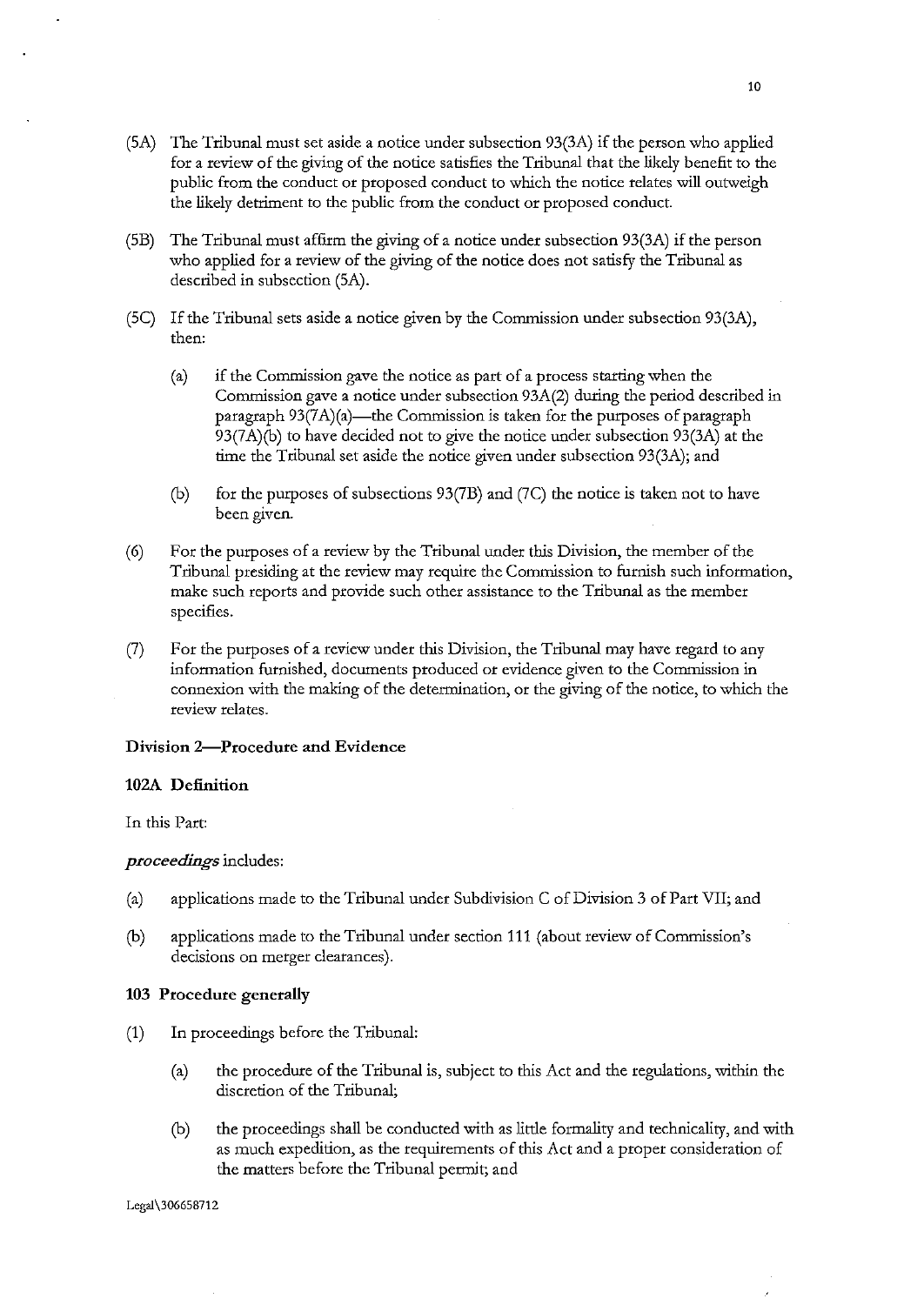- $(5A)$  The Tribunal must set aside a notice under subsection 93 $(3A)$  if the person who applied for a review of the giving of the notice satisfies the Tribunal that the likely benefit to the public from the conduct or proposed conduct to which the notice relates will outweigh the likely detriment to the public from the conduct or proposed conduct.
- (SB) The Tribunal must affirm the giving of a notice under subsection 93(3A) if the person who applied for a review of the giving of the notice does not satisfy the Tribunal as described in subsection (SA).
- (SC) If the Tribunal sets aside a notice given by the Commission under subsection 93(3A), then:
	- (a) if the Commission gave the notice as part of a process starting when the Commission gave a notice under subsection 93A(2) during the period described in paragraph  $93(7A)(a)$ —the Commission is taken for the purposes of paragraph 93(7A)(b) to have decided not to give the notice under subsection 93(3A) at the time the Tribunal set aside the notice given under subsection 93(3A); and
	- (b) for the purposes of subsections 93(7B) and (7C) the notice is taken not to have been given.
- (6) For the purposes of a review by the Tribunal under this Division, the member of the Tribunal presiding at the review may require the Commission to furnish such information, make such reports and provide such other assistance to the Tribunal as the member specifies.
- (7) For the purposes of a review under this Division, the Tribunal may have regard to any information furnished, documents produced or evidence given to the Commission in connexion with the making of the determination, or the giving of the notice, to which the **review relates.**

#### Division 2-Procedure and Evidence

#### 102A Definition

In this Part:

#### *proceedings* includes:

- (a) applications made to the Tribunal under Subdivision C of Division 3 of Part VII; and
- (b) applications made to the Tribunal under section 111 (about review of Commission's decisions on merger clearances).

#### 103 Procedure generally

- (1) In proceedings before the Tribunal:
	- (a) the procedure of the Tribunal is, subject to this Act and the regulations, within the discretion of the Tribunal;
	- (b) the proceedings shall be conducted with as little formality and technicality, and with as much expedition, as the requirements of this Act and a proper consideration of the matters before the Tribunal permit; and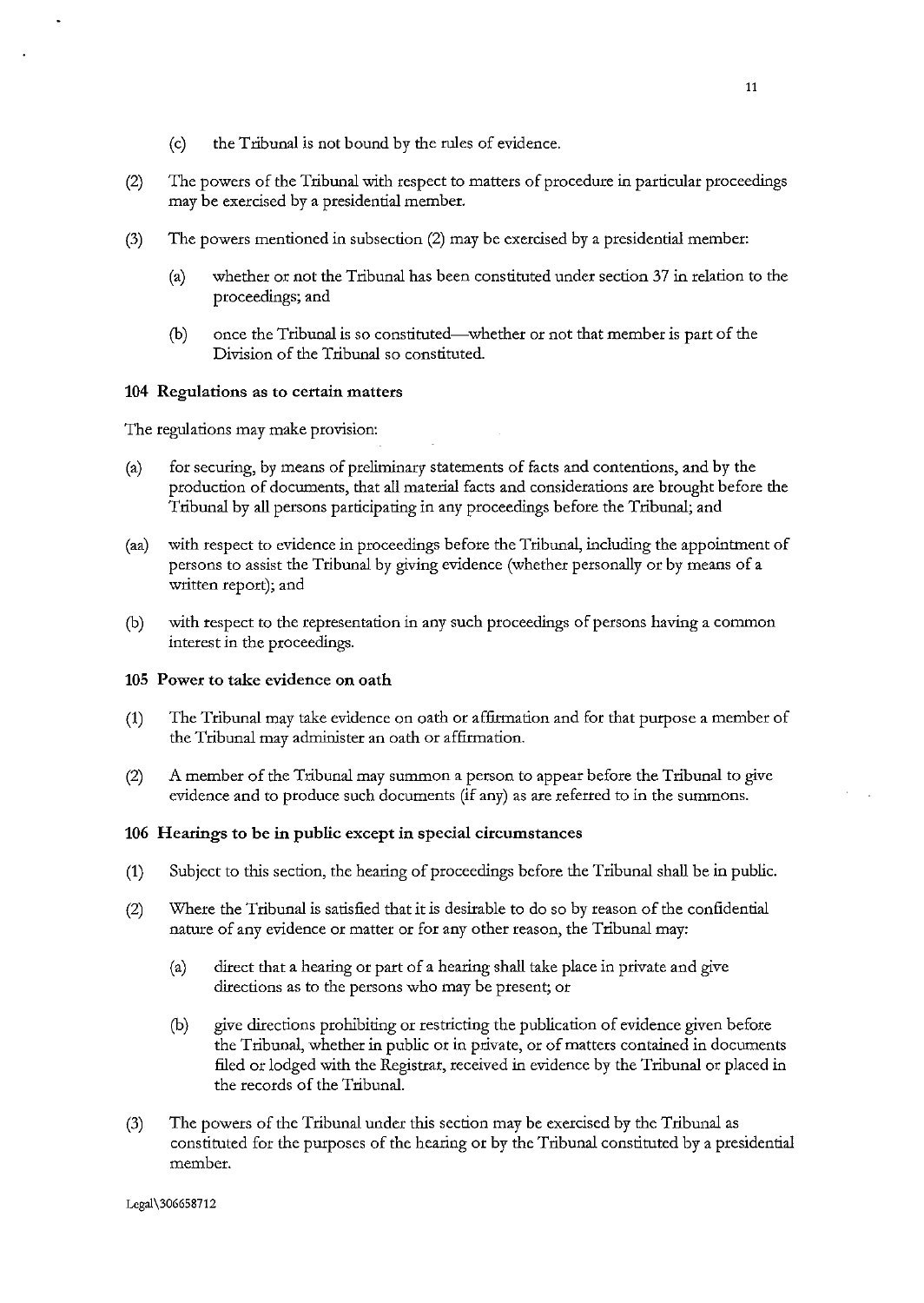- (c) the Tribunal is not bound by the rules of evidence.
- (2) The powers of the Tribunal with respect to matters of procedure in particular proceedings may be exercised by a presidential member.
- (3) The powers mentioned in subsection (2) may be exercised by a presidential member:
	- (a) whether or not the Tribunal has been constituted under section 37 in relation to the proceedings; and
	- (b) once the Tribunal is so constituted-whether or not that member is part of the Division of the Tribunal so constituted.

#### 104 Regulations as to certain matters

The regulations may make provision:

- (a) for securing, by means of preliminary statements of facts and contentions, and by the production of documents, that all material facts and considerations are brought before the Tribunal by all persons participating in any proceedings before the Tribunal; and
- (aa) with respect to evidence in proceedings before the Tribunal, including the appointment of persons to assist the Tribunal by giving evidence (whether personally or by means of a **written report); and**
- (b) with respect to the representation in any such proceedings of persons having a common interest in the proceedings.

## 105 Power to take evidence on oath

- (1) The Tribunal may take evidence on oath or affirmation and for that purpose a member of the Tribunal may administer an oath or affirmation.
- (2) A member of the Tribunal may summon a person to appear before the Tribunal to give evidence and to produce such documents (if any) as are referred to in the summons.

### 106 Hearings to be in public except in special circumstances

- (1) Subject to this section, the hearing of proceedings before the Tribunal shall be in public.
- (2) Where the Tribunal is satisfied that it is desirable to do so by reason of the confidential nature of any evidence or matter or for any other reason, the Tribunal may:
	- (a) direct that a hearing or part of a hearing shall take place in private and give directions as to the persons who may be present; or
	- (b) give directions prohibiting or restricting the publication of evidence given before the Tribunal, whether in public or in private, or of matters contained in documents filed or lodged with the Registrar, received in evidence by the Tribunal or placed in the records of the Tribunal.
- (3) The powers of the Tribunal under this section may be exercised by the Tribunal as constituted for the purposes of the hearing or by the Tribunal constituted by a presidential member.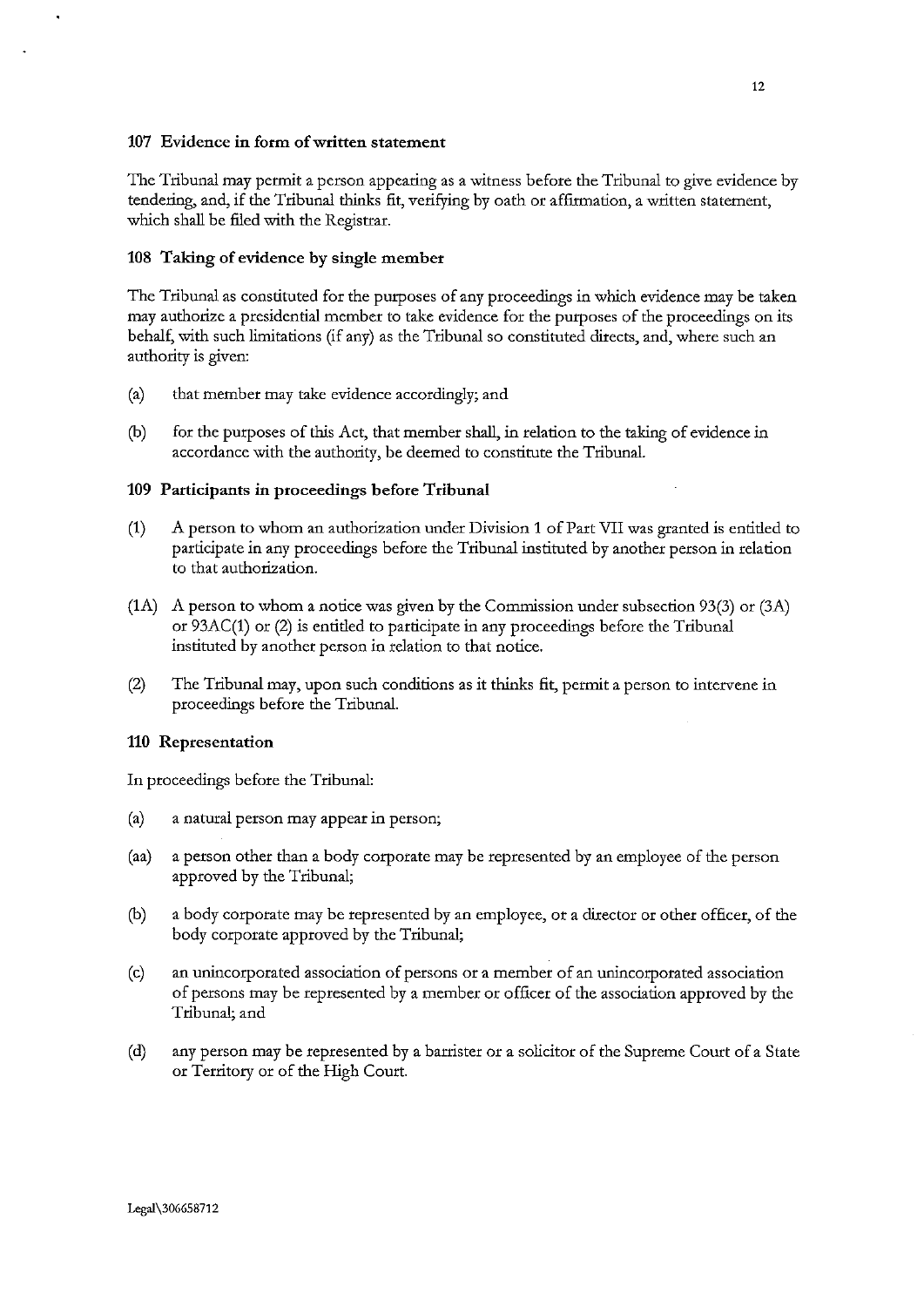## 107 Evidence in form of written statement

The Tribunal may permit a person appearing as a witness before the Tribunal to give evidence by tendering, and, if the Tribunal thinks fit, verifying by oath or affinnation, a written statement, which shall be filed with the Registrar.

# 108 Taking of evidence by single member

The Tribunal as constituted for the purposes of any proceedings in which evidence may be taken may authorize a presidential member to take evidence for the purposes of the proceedings on its behalf, with such limitations (if any) as the Tribunal so constituted directs, and, where such an authority is given:

- (a) that member may take evidence accordingly; and
- (b) for the purposes of this Act, that member shall, in relation to the taking of evidence in accordance with the authority, be deemed to constitute the Tribunal.

## 109 Participants in proceedings before Tribunal

- (1) A person to whom an authorization under Division 1 of Part VII was granted is entitled to participate in any proceedings before the Tribunal instituted by another person in relation to that authorization.
- (1A) A person to whom a notice was given by the Commission under subsection 93(3) or (3A) or 93AC(1) or (2) is entitled to participate in any proceedings before the Tribunal instituted by another person in relation to that notice.
- (2) The Tribunal may, upon such conditions as it thinks fit, permit a person to intervene in proceedings before the Tribunal.

# 110 Representation

In proceedings before the Tribunal:

- (a) a natural person may appear in person;
- (aa) a person other than a body corporate may be represented by an employee of the person approved by the Tribunal;
- (b) a body corporate may be represented by an employee, or a director or other officer, of the body corporate approved by the Tribunal;
- (c) an unincorporated association of persons or a member of an unincorporated association of persons may be represented by a member or officer of the association approved by the Tribunal; and
- (d) any person may be represented by a barrister or a solicitor of the Supreme Court of a State or Territory or of the High Court.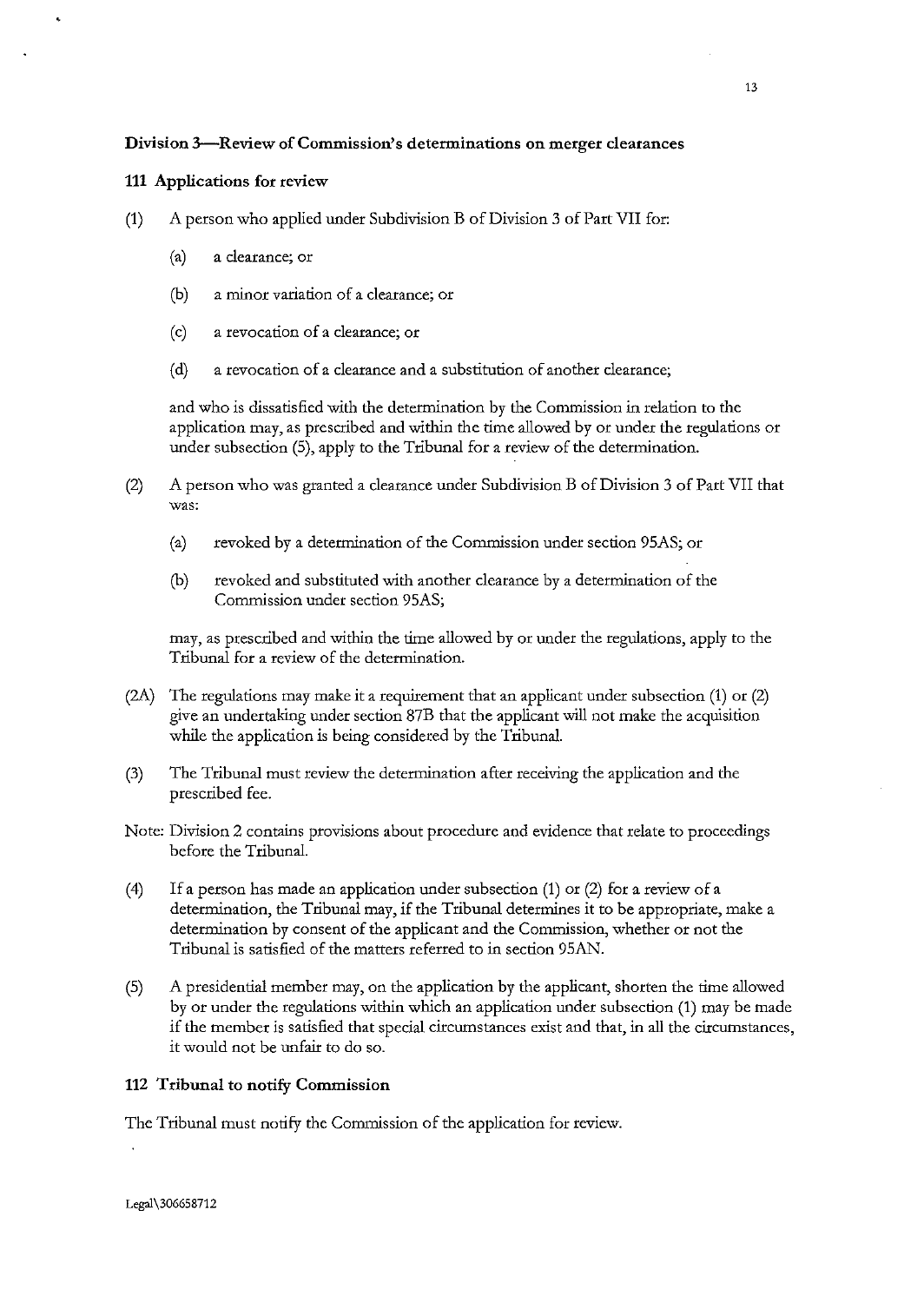# **Division 3--Review of Commission's determinations on merger clearances**

# 111 Applications for review

- (1) A person who applied under Subdivision B of Division 3 of Part VII for:
	- (a) a clearance; or
	- **(b) a minor variation of a clearance; or**
	- **(c) a revocation of a clearance; or**
	- (d) a revocation of a clearance and a substitution of another clearance;

and who is dissatisfied with the determination by the Commission in relation to the application may, as prescribed and within the time allowed by or under the regulations or under subsection (5), apply to the Tribunal for a review of the determination.

- (2) A person who was granted a clearance under Subdivision B of Division 3 of Part VII that **was:** 
	- (a) revoked by a determination of the Commission under section 95AS; or
	- (b) revoked and substituted with another clearance by a determination of the Commission under section 95AS;

may, as prescribed and within the time allowed by or under the regulations, apply to the Tribunal for a review of the determination.

- (2A) The regulations may make it a requirement that an applicant under subsection (1) or (2) give an undertaking under section 87B that the applicant will not make the acquisition while the application is being considered by the Tribunal.
- (3) The Tribunal must review the determination after receiving the application and the prescribed fee.
- Note: Division 2 contains provisions about procedure and evidence that relate to proceedings before the Tribunal.
- (4) If a person has made an application under subsection (1) or (2) for a review of a determination, the Tribunal may, if the Tribunal determines it to be appropriate, make a determination by consent of the applicant and the Commission, whether or not the Tribunal is satisfied of the matters referred to in section 95AN.
- (5) A presidential member may, on the application by the applicant, shorten the time allowed by or under the regulations within which an application under subsection (1) may be made if the member is satisfied that special circumstances exist and that, in all the circumstances, it would not be unfair to do so.

# 112 Tribunal to notify Commission

The Tribunal must notify the Commission of the application for review.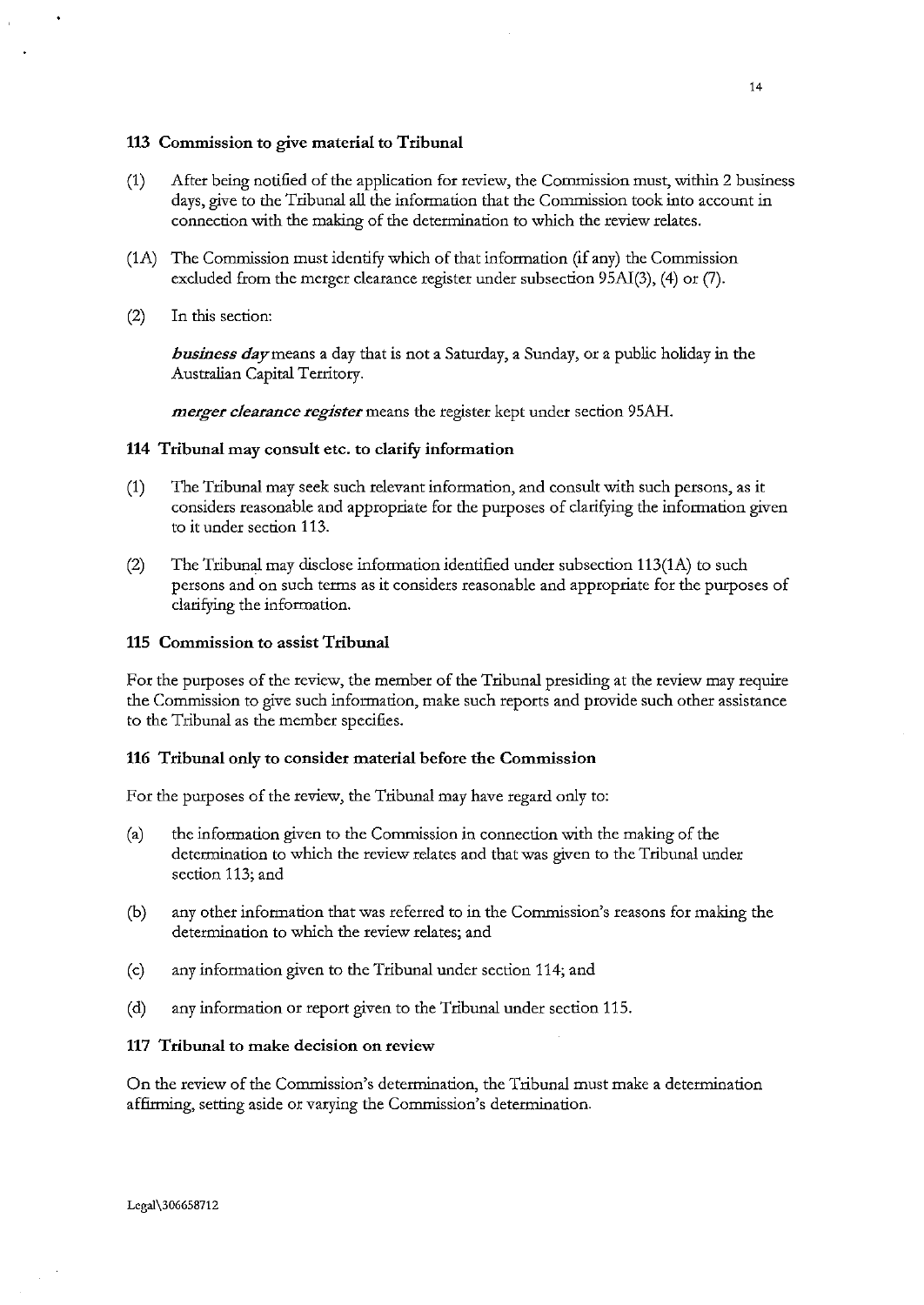### 113 Commission to give material to Tribunal

- (1) After being notified of the application for review, the Commission must, within 2 business days, give to the Tribunal all the information that the Commission took into account in connection with the making of the determination to which the review relates.
- (1A) The Commission must identify which of that information (if any) the Commission excluded from the merger clearance register under subsection 95Al(3), (4) or (7).
- (2) In this section:

*business day* means a day that is not a Saturday, a Sunday, or a public holiday in the Australian Capital Territory.

*merger clearance register* means the register kept under section 95AH.

#### 114 Tribunal may consult etc. to clarify information

- (1) The Tribunal may seek such relevant information, and consult with such persons, as it considers reasonable and appropriate for the purposes of clarifying the information given to it under section 113.
- (2) The Tribunal may disclose information identified under subsection 113(1A) to such persons and on such terms as it considers reasonable and appropriate for the purposes of clarifying the information.

#### 115 Commission to assist Tribunal

For the purposes of the review, the member of the Tribunal presiding at the review may require the Commission to give such information, make such reports and provide such other assistance to the Tribunal as the member specifies.

#### 116 Tribunal only to consider material before the Commission

For the purposes of the review, the Tribunal may have regard only to:

- (a) the information given to the Commission in connection with the making of the determination to which the review relates and that was given to the Tribunal under section 113; and
- (b) any other information that was referred to in the Commission's reasons for making the determination to which the review relates; and
- (c) any information given to the Tribunal under section 114; and
- (d) any information or report given to the Tribunal under section 115.

## 117 Tribunal to make decision on review

On the review of the Commission's determination, the Tribunal must make a determination affirming, setting aside or varying the Commission's determination.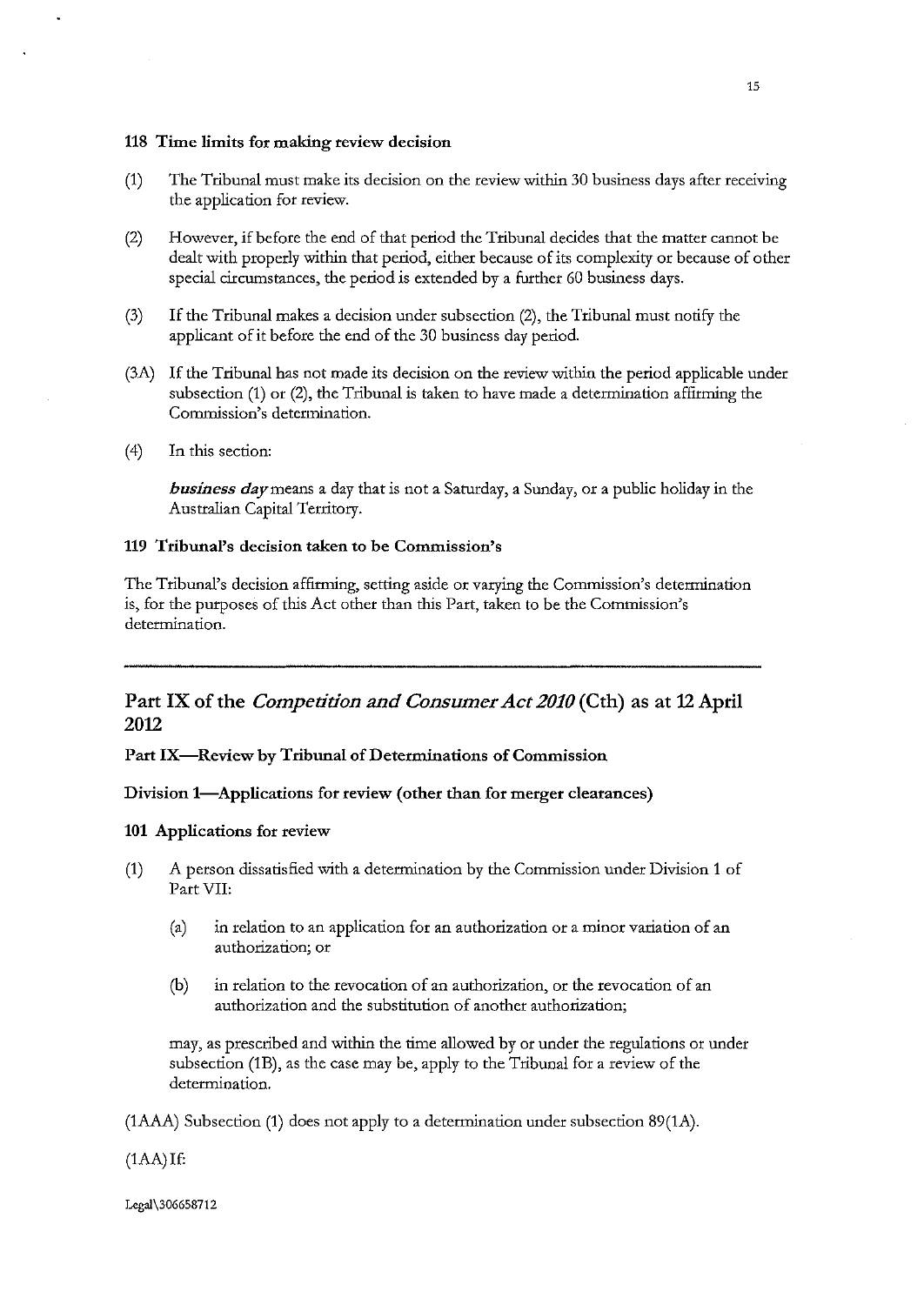### 118 Time limits for making review decision

- (1) The Tribunal must make its decision on the review within 30 business days after receiving the application for review.
- (2) However, if before the end of that period the Tribunal decides that the matter cannot be dealt with properly within that period, either because of its complexity or because of other special circumstances, the period is extended by a further 60 business days.
- (3) If the Tribunal makes a decision under subsection (2), the Tribunal must notify the applicant of it before the end of the 30 business day period.
- (3A) If the Tribunal has not made its decision on the review within the period applicable under subsection (1) or (2), the Tribunal is taken to have made a determination affirming the **Commission's detennination.**
- $(4)$  In this section:

*business day* means a day that is not a Saturday, a Sunday, or a public holiday in the Australian Capital Territory.

## 119 Tribunal's decision taken to be Commission's

The Tribunal's decision affirming, setting aside or varying the Commission's determination is, for the purposes of this Act other than this Part, taken to be the Commission's determination.

# Part IX of the *Competition and Consumer Act 2010* (Cth) as at 12 April 2012

Part IX-Review by Tribunal of Determinations of Commission

# Division 1-Applications for review (other than for merger clearances)

## 101 Applications for review

- (1) A person dissatisfied with a determination by the Commission under Division 1 of Part VII:
	- (a) in relation to an application for an authorization or a minor variation of an **authorization; or**
	- **(b) in relation to the revocation of an authorization, or the revocation of an**  authorization and the substitution of another authorization;

may, as prescribed and within the time allowed by or under the regulations or under subsection (1B), as the case may be, apply to the Tribunal for a review of the determination.

(1AAA) Subsection (1) does not apply to a determination under subsection 89(1A).

 $(1AA)$ If:

Legal\306658712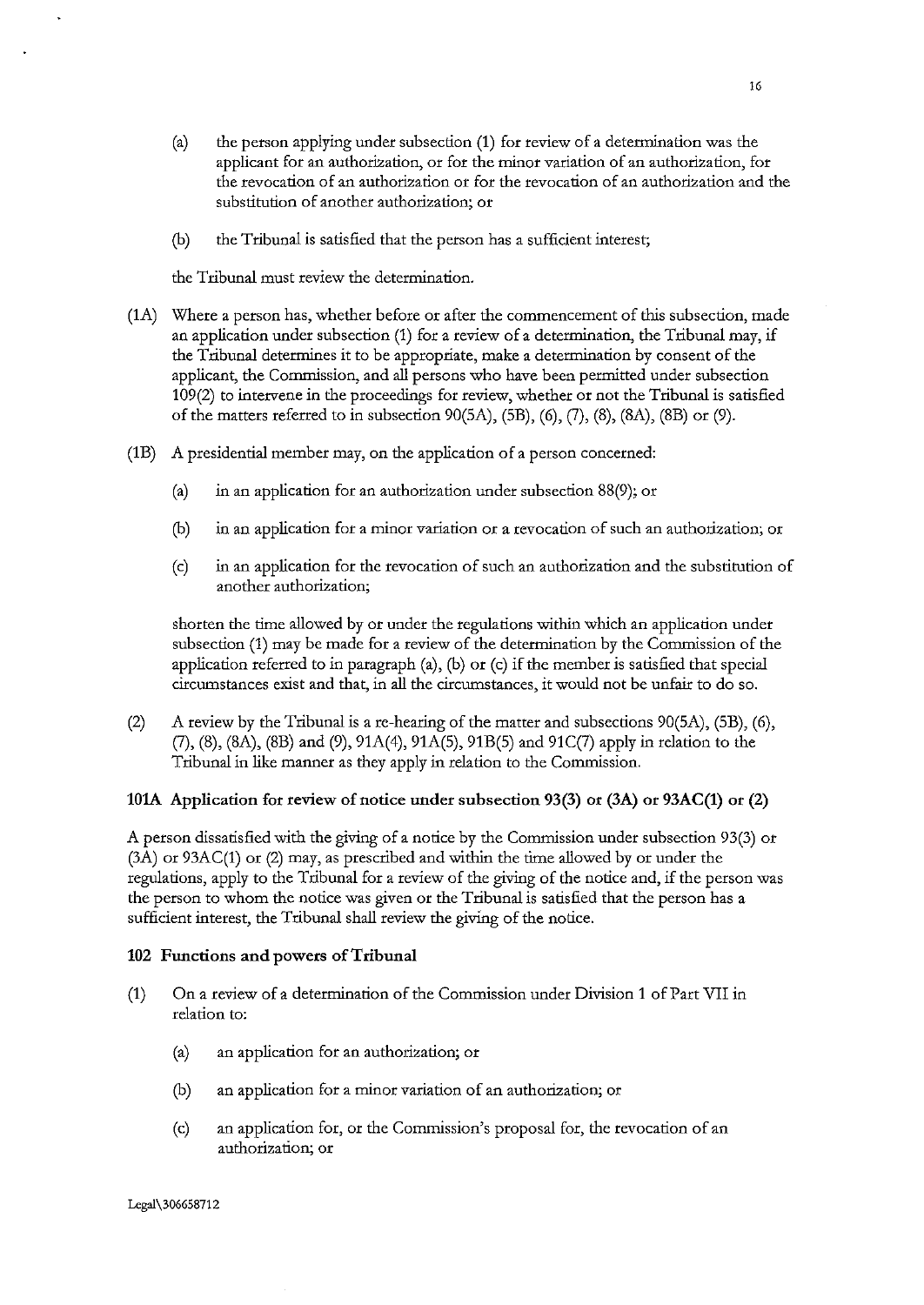- (a) the person applying under subsection (1) for review of a determination was the applicant for an authorization, or for the minor variation of an authorization, for the revocation of an authorization or for the revocation of an authorization and the substitution of another authorization; or
- (b) the Tribunal is satisfied that the person has a sufficient interest;

the Tribunal must review the determination.

- (1A) Where a person has, whether before or after the commencement of this subsection, made an application under subsection (1) for a review of a determination, the Tribunal may, if the Tribunal determines it to be appropriate, make a determination by consent of the applicant, the Commission, and all persons who have been permitted under subsection 109(2) to intervene in the proceedings for review, whether or not the Tribunal is satisfied of the matters referred to in subsection  $90(5A)$ ,  $(5B)$ ,  $(6)$ ,  $(7)$ ,  $(8)$ ,  $(8A)$ ,  $(8B)$  or  $(9)$ .
- (1B) A presidential member may, on the application of a person concerned:
	- (a) in an application for an authorization under subsection SS(9); or
	- **(b) in an application for a minor variation or a revocation of such an authorization; or**
	- (c) in an application for the revocation of such an authorization and the substitution of **another authorization;**

shorten the time allowed by or under the regulations within which an application under subsection (1) may be made for a review of the determination by the Commission of the application referred to in paragraph (a), (b) or (c) if the member is satisfied that special circumstances exist and that, in all the circumstances, it would not be unfair to do so.

(2) A review by the Tribunal is a re-hearing of the matter and subsections  $90(5A)$ ,  $(5B)$ ,  $(6)$ , (7), (S), (SA), (SB) and (9), 91A(4), 91A(S), 91B(S) and 91C(7) apply in relation to the Tribunal in like manner as they apply in relation to the Commission.

#### 101A Application for review of notice under subsection 93(3) or  $(3A)$  or  $93AC(1)$  or  $(2)$

A person dissatisfied with the giving of a notice by the Commission under subsection 93(3) or  $(3A)$  or  $93AC(1)$  or  $(2)$  may, as prescribed and within the time allowed by or under the regulations, apply to the Tribunal for a review of the giving of the notice and, if the person was the person to whom the notice was given or the Tribunal is satisfied that the person has a sufficient interest, the Tribunal shall review the giving of the notice.

#### 102 Functions and powers of Tribunal

- (1) On a review of a determination of the Commission under Division 1 of Part VII in relation to:
	- (a) an application for an authorization; or
	- (b) an application for a minor variation of an authorization; or
	- (c) an application for, or the Commission's proposal for, the revocation of an **authorization; or**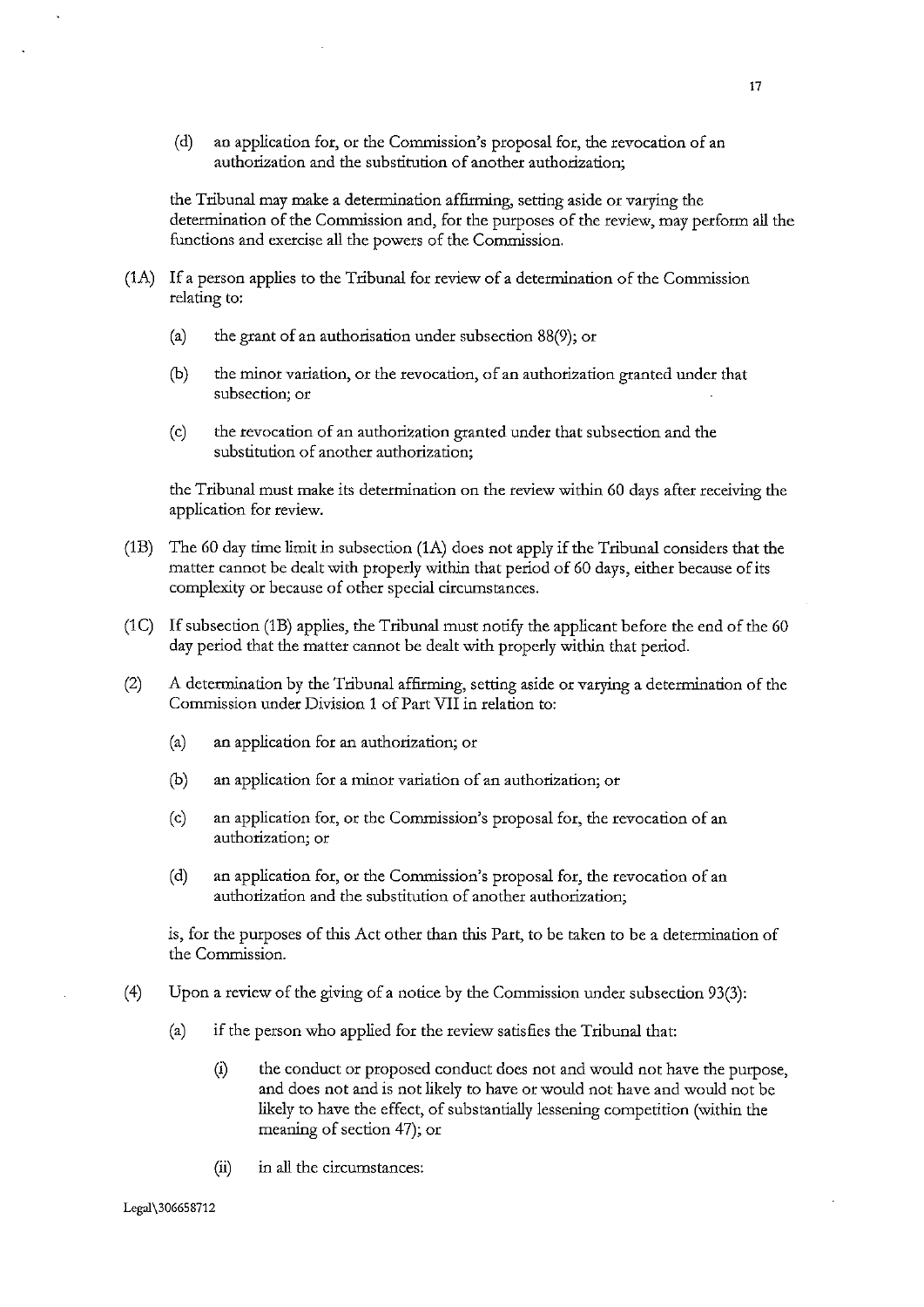(d) an application for, or the Commission's proposal for, the revocation of an authorization and the substitution of another authorization;

the Tribunal may make a detennination affirming, setting aside or varying the determination of the Commission and, for the purposes of the review, may perform all the functions and exercise all the powers of the Commission.

- (1A) If a person applies to the Tribunal for review of a detennination of the Commission relating to:
	- (a) the grant of an authorisation under subsection 88(9); or
	- (b) the minor variation, or the revocation, of an authorization granted under that **subsection; or**
	- (c) the revocation of an authorization granted under that subsection and the **substitution of another authorization;**

the Tribunal must make its detennination on the review within 60 days after receiving the application for review.

- (1B) The 60 day time limit in subsection (1A) does not apply if the Tribunal considers that the matter cannot be dealt with properly within that period of 60 days, either because of its complexity or because of other special circumstances.
- (1C) If subsection (1B) applies, the Tribunal must notifY the applicant before the end of the 60 day period that the matter cannot be dealt with properly within that period.
- $(2)$  A determination by the Tribunal affirming, setting aside or varying a determination of the Commission under Division 1 of Part VII in relation to:
	- (a) an application for an authorization; or
	- (b) an application for a minor variation of an authorization; or
	- (c) an application for, or the Commission's proposal for, the revocation of an **authorization; or**
	- (d) an application for, or the Commission's proposal for, the revocation of an authorization and the substitution of another authorization;

is, for the purposes of this Act other than this Part, to be taken to be a determination of the Commission.

- (4) Upon a review of the giving of a notice by the Commission under subsection 93(3):
	- (a) if the person who applied for the review satisfies the Tribunal that:
		- (i) the conduct or proposed conduct does not and would not have the purpose, and does not and is not likely to have or would not have and would not be likely to have the effect, of substantially lessening competition (within the meaning of section 47); or
		- (ii) in all the circumstances: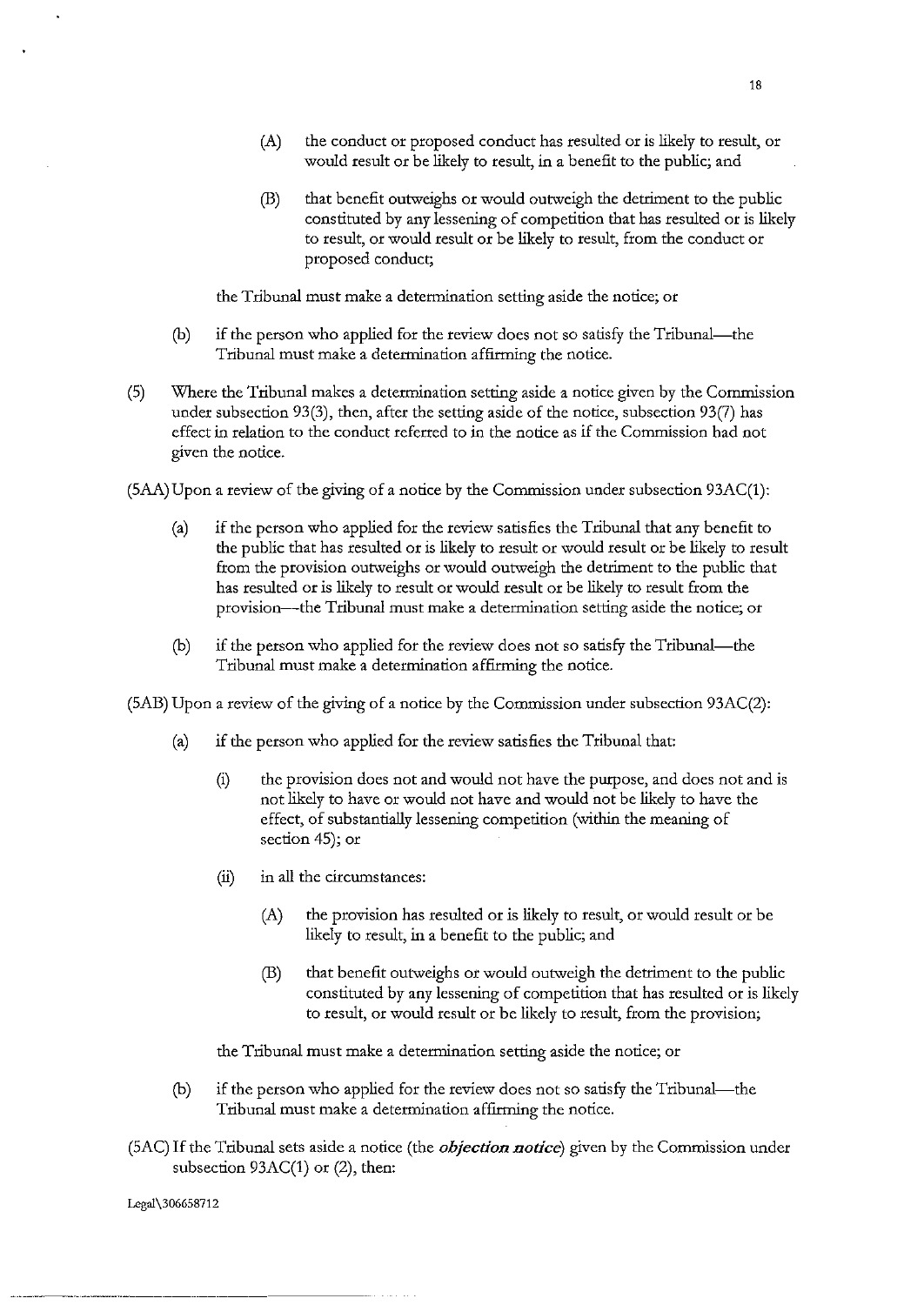- (A) the conduct or proposed conduct has resulted or is likely to result, or would result or be likely to result, in a benefit to the public; and
- (B) that benefit outweighs or would outweigh the detriment to the public constituted by any lessening of competition that has resulted or is likely to result, or would result or be likely to result, from the conduct or proposed conduct;

the Tribunal must make a determination setting aside the notice; or

- (b) if the person who applied for the review does not so satisfy the Tribunal-the Tribunal must make a determination affirming the notice.
- (5) Where the Tribunal makes a determination setting aside a notice given by the Commission under subsection 93(3), then, after the setting aside of the notice, subsection 93(7) has effect in relation to the conduct referred to in the notice as if the Commission had not given the notice.

(SAA) Upon a review of the giving of a notice by the Commission under subsection 93AC(1):

- (a) if the person who applied for the review satisfies the Tribunal that any benefit to the public that has resulted or is likely to result or would result or be likely to result from the provision outweighs or would outweigh the detriment to the public that has resulted or is likely to result or would result or be likely to result from the provision-the Tribunal must make a determination setting aside the notice; or
- (b) if the person who applied for the review does not so satisfy the Tribunal-the Tribunal must make a determination affirming the notice.

(SAB) Upon a review of the giving of a notice by the Commission under subsection 93AC(2):

- (a) if the person who applied for the review satisfies the Tribunal that:
	- (i) the provision does not and would not have the purpose, and does not and is not likely to have or would not have and would not be likely to have the effect, of substantially lessening competition (within the meaning of section 45); or
	- (ii) in all the circumstances:
		- (A) the provision has resulted or is likely to result, or would result or be likely to result, in a benefit to the public; and
		- (B) that benefit outweighs or would outweigh the detriment to the public constituted by any lessening of competition that has resulted or is likely to result, or would result or be likely to result, from the provision;

the Tribunal must make a determination setting aside the notice; or

- (b) if the person who applied for the review does not so satisfy the Tribunal-the Tribunal must make a determination affirming the notice.
- (SAC) If the Tribunal sets aside a notice (the *objection notice)* given by the Commission under subsection 93AC(1) or (2), then:

Legal\306658712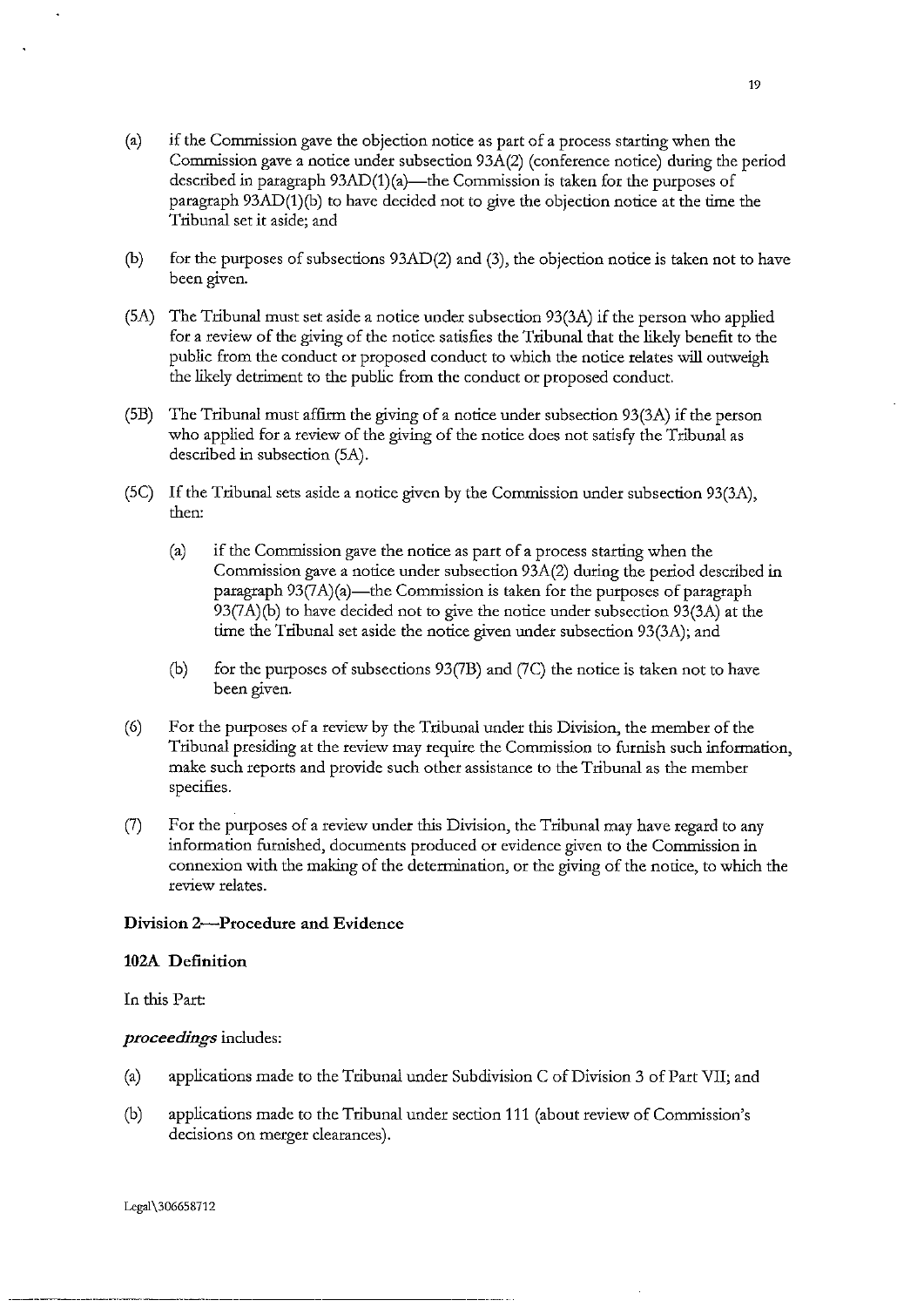- (b) for the purposes of subsections 93AD(2) and (3), the objection notice is taken not to have been given.
- (SA) The Tribunal must set aside a notice under subsection 93(3A) if the person who applied for a review of the giving of the notice satisfies the Tribunal that the likely benefit to the public from the conduct or proposed conduct to which the notice relates will outweigh the likely detriment to the public from the conduct or proposed conduct.
- (SB) The Tribunal must affirm the giving of a notice under subsection 93(3A) if the person who applied for a review of the giving of the notice does not satisfy the Tribunal as described in subsection (SA).
- (SC) If the Tribunal sets aside a notice given by the Commission under subsection 93(3A), then:
	- (a) if the Commission gave the notice as part of a process starting when the Commission gave a notice under subsection 93A(2) during the period described in paragraph  $93(7A)(a)$ —the Commission is taken for the purposes of paragraph 93(7A)(b) to have decided not to give the notice under subsection 93(3A) at the time the Tribunal set aside the notice given under subsection 93(3A); and
	- (b) for the purposes of subsections 93(7B) and (7C) the notice is taken not to have been given.
- (6) For the purposes of a review by the Tribunal under this Division, the member of the Tribunal presiding at the review may require the Commission to furnish such information, make such reports and provide such other assistance to the Tribunal as the member specifies.
- (7) For the purposes of a review under this Division, the Tribunal may have regard to any information furnished, documents produced or evidence given to the Commission in connexion with the making of the determination, or the giving of the notice, to which the **review relates.**

# Division 2-Procedure and Evidence

# 102A Definition

In this Part:

#### *proceedings* includes:

- (a) applications made to the Tribunal under Subdivision C of Division 3 of Part VII; and
- (b) applications made to the Tribunal under section 111 (about review of Commission's **decisions on merger clearances).**

Lcgal\306658712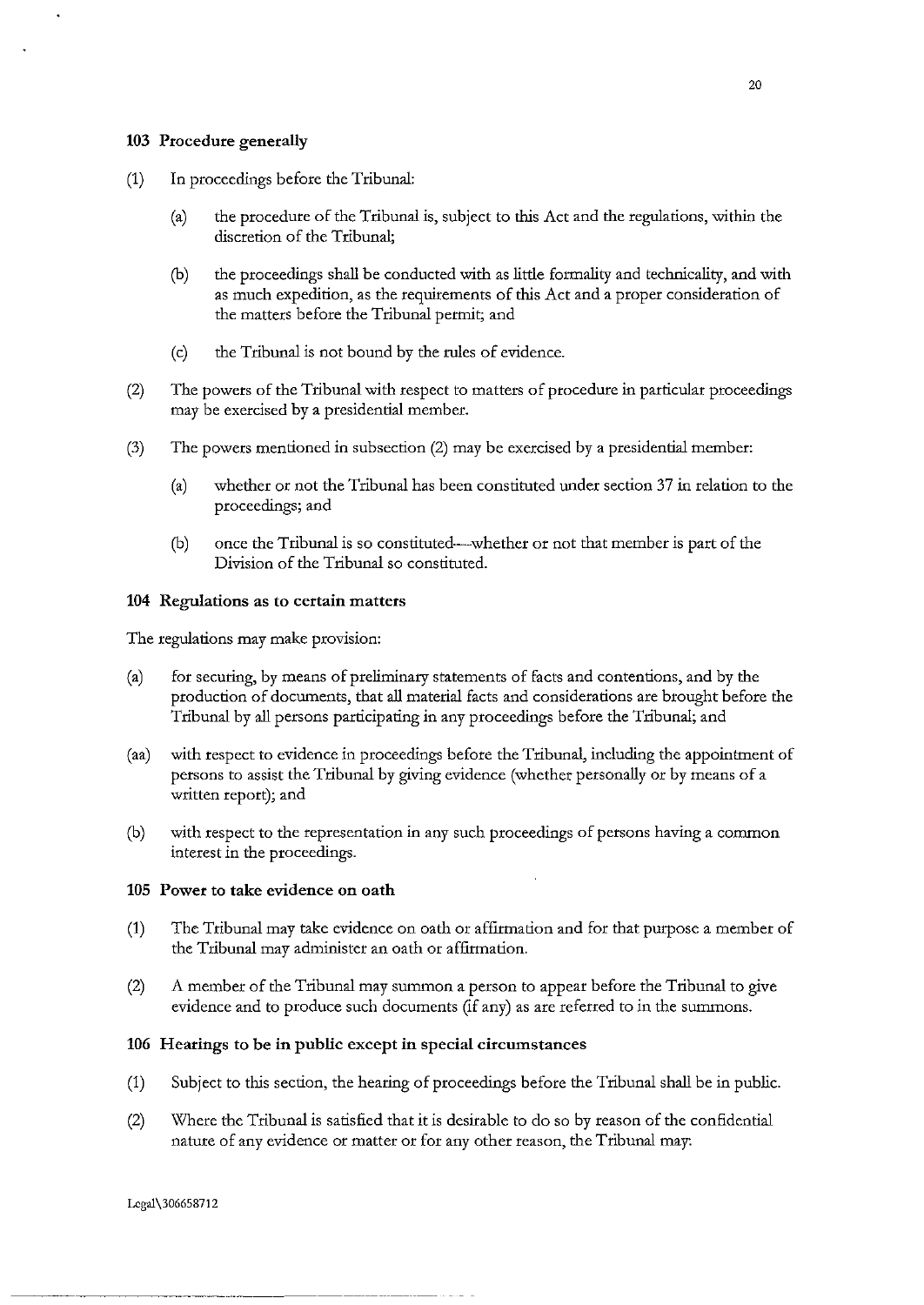#### 103 Procedure generally

- (1) In proceedings before the Tribunal:
	- (a) tbe procedure of the Tribunal is, subject to this Act and tbe regulations, within the discretion of the Tribunal:
	- (b) tbe proceedings shall be conducted witb as little formality and technicality, and with as much expedition, as tbe requirements of this Act and a proper consideration of the matters before the Tribunal permit; and
	- (c) the Tribunal is not bound by the rules of evidence.
- (2) The powers of the Tribunal witb respect to matters of procedure in particular proceedings may be exercised by a presidential member.
- (3) The powers mentioned in subsection (2) may be exercised by a presidential member:
	- (a) whetber or not tbe Tribunal has been constituted under section 37 in relation to tbe proceedings; and
	- (b) once the Tribunal is so constituted-whether or not that member is part of tbe Division of the Tribunal so constituted.

#### 104 Regulations as to certain matters

The regulations may make provision:

- (a) for securing, by means of preliminary statements of facts and contentions, and by tbe production of documents, that all material facts and considerations are brought before tbe Tribunal by all persons participating in any proceedings before the Tribunal; and
- (aa) witb respect to evidence in proceedings before the Tribunal, including tbe appointment of persons to assist the Tribunal by giving evidence (whether personally or by means of a written report); and
- (b) witb respect to tbe representation in any such proceedings of persons having a common interest in the proceedings.

#### 105 Power to take evidence on oath

- (1) The Tribunal may take evidence on oatb or affirmation and for that purpose a member of the Tribunal may administer an oath or affirmation.
- (2) A member of the Tribunal may summon a person to appear before the Tribunal to give evidence and to produce such documents (if any) as are referred to in tbe summons.

## 106 Hearings to be in public except in special circumstances

- (1) Subject to this section, the hearing of proceedings before the Tribunal shall be in public.
- (2) Where the Tribunal is satisfied that it is desirable to do so by reason of the confidential nature of any evidence or matter or for any other reason, the Tribunal may:

Lcgal\306658712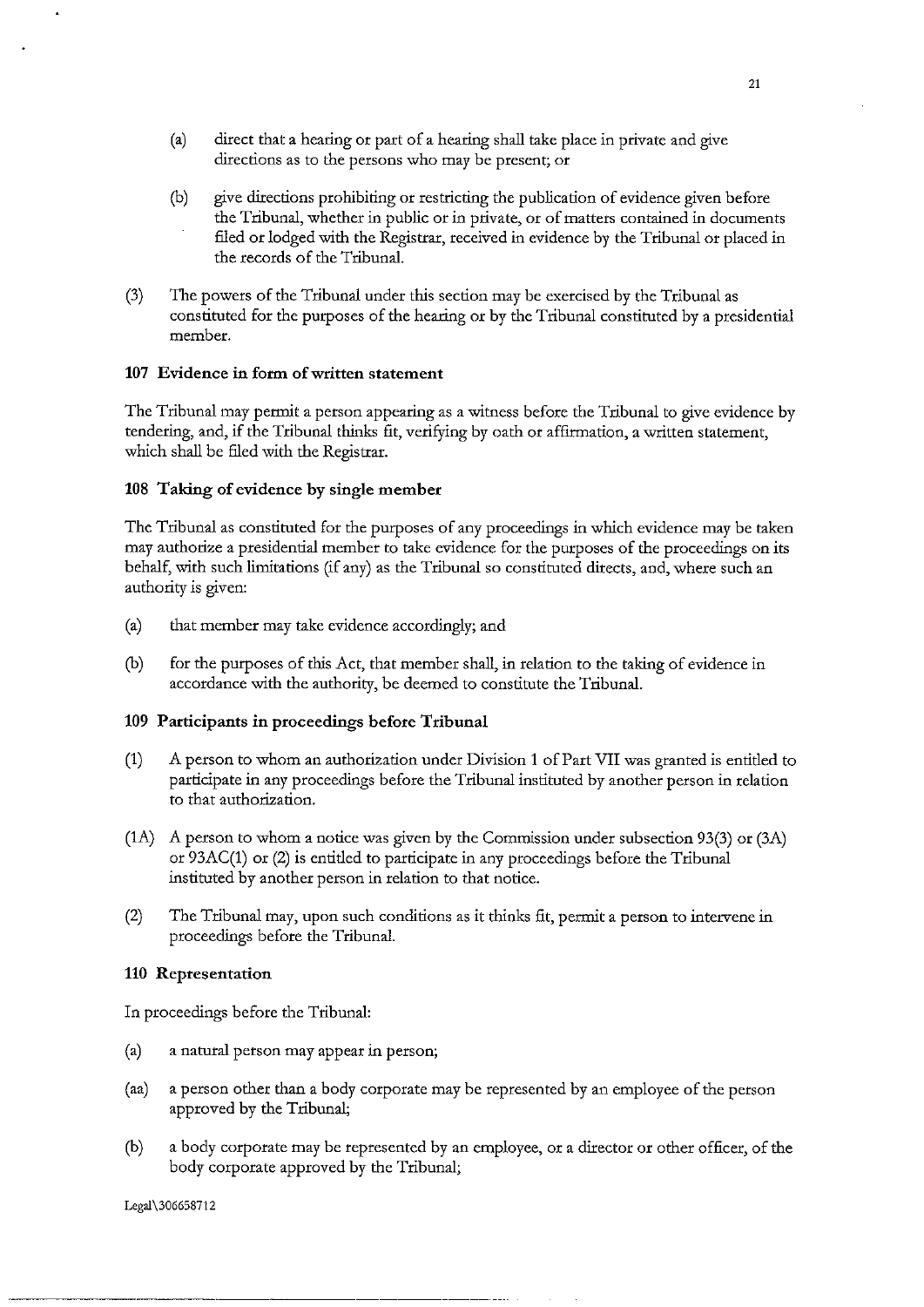- (a) direct that a hearing or part of a hearing shall take place in private and give directions as to the persons who may be present; or
- (b) give directions prohibiting or restricting the publication of evidence given before the Tribunal, whether in public or in private, or of matters contained in documents filed or lodged with the Registrar, received in evidence by the Tribunal or placed in the records of the Tribunal.
- (3) The powers of the Tribunal under this section may be exercised by the Tribunal as constituted for the purposes of the hearing or by the Tribunal constituted by a presidential member.

# **107 Evidence in form of written statement**

The Tribunal may permit a person appearing as a witness before the Tribunal to give evidence by tendering, and, if the Tribunal thinks fit, verifying by oath or affirmation, a written statement, which shall be filed with the Registrar.

#### **108 Taking of evidence by single member**

The Tribunal as constituted for the purposes of any proceedings in which evidence may be taken may authorize a presidential member to take evidence for the purposes of the proceedings on its behalf, with such limitations (if any) as the Tribunal so constituted directs, and, where such an authority is given:

- (a) that member may take evidence accordingly; and
- (b) for the purposes of this Act, that member shall, in relation to the taking of evidence in accordance with the authority, be deemed to constitute the Tribunal.

#### **109 Participants in proceedings before Tribunal**

- (1) A person to whom an authorization under Division **1** of Part VII was granted is entitled to participate in any proceedings before the Tribunal instituted by another person in relation to that authorization.
- (1A) A person to whom a notice was given by the Commission under subsection 93(3) or (3A) or 93AC(1) or (2) is entitled to participate in any proceedings before the Tribunal instituted by another person in relation to that notice.
- (2) The Tribunal may, upon such conditions as it thinks fit, permit a person to intervene in proceedings before the Tribunal.

#### **110 Representation**

In proceedings before the Tribunal:

- (a) a natural person may appear in person;
- (aa) a person other than a body corporate may be represented by an employee of the person approved by the Tribunal;
- (b) a body corporate may be represented by an employee, or a director or other officer, of the body corporate approved by the Tribunal;

Legal\306658712

··-------------·-------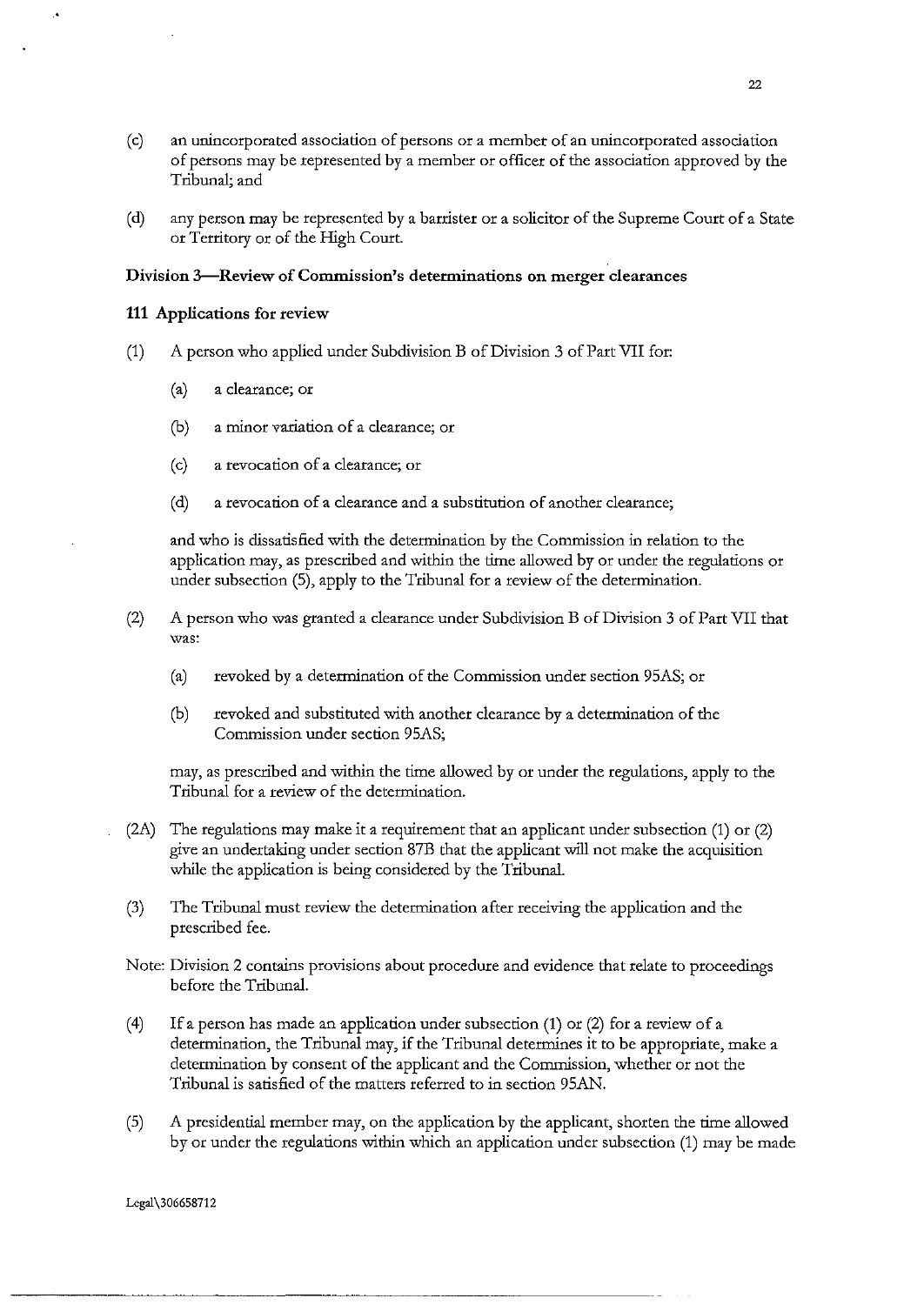- (c) an unincorporated association of persons or a member of an unincorporated association of persons may be represented by a member or officer of the association approved by the Tribunal; and
- (d) any person may be represented by a barrister or a solicitor of the Supreme Court of a State or Territory or of the High Court.

### **Division 3-Review of Commission's determinations on merger clearances**

#### 111 Applications for review

- (1) A person who applied under Subdivision B of Division 3 of Part VII for:
	- (a) a clearance; or
	- (b) a minor variation of a clearance; or
	- **(c) a revocation of a clearance; or**
	- (d) a revocation of a clearance and a substitution of another clearance;

and who is dissatisfied with the determination by the Commission in relation to the application may, as prescribed and within the time allowed by or under the regulations or under subsection (5), apply to the Tribunal for a review of the determination.

- (2) A person who was granted a clearance under Subdivision B of Division 3 of Part VII that **was:** 
	- (a) revoked by a determination of the Commission under section 95AS; or
	- (b) revoked and substituted with another clearance by a determination of the Commission under section 95AS;

may, as prescribed and within the time allowed by or under the regulations, apply to the Tribunal for a review of the determination.

- (2A) The regulations may make it a requirement that an applicant under subsection (1) or (2) give an undertaking under section 87B that the applicant will not make the acquisition while the application is being considered by the Tribunal.
- (3) The Tribunal must review the determination after receiving the application and the prescribed fee.
- Note: Division 2 contains provisions about procedure and evidence that relate to proceedings before the Tribunal.
- ( 4) If a person has made an application under subsection (1) or (2) for a review of a determination, the Tribunal may, if the Tribunal determines it to be appropriate, make a determination by consent of the applicant and the Commission, whether or not the Tribunal is satisfied of the matters referred to in section 95AN.
- (5) A presidential member may, on the application by the applicant, shorten the time allowed by or under the regulations within which an application under subsection (1) may be made

Legal\306658712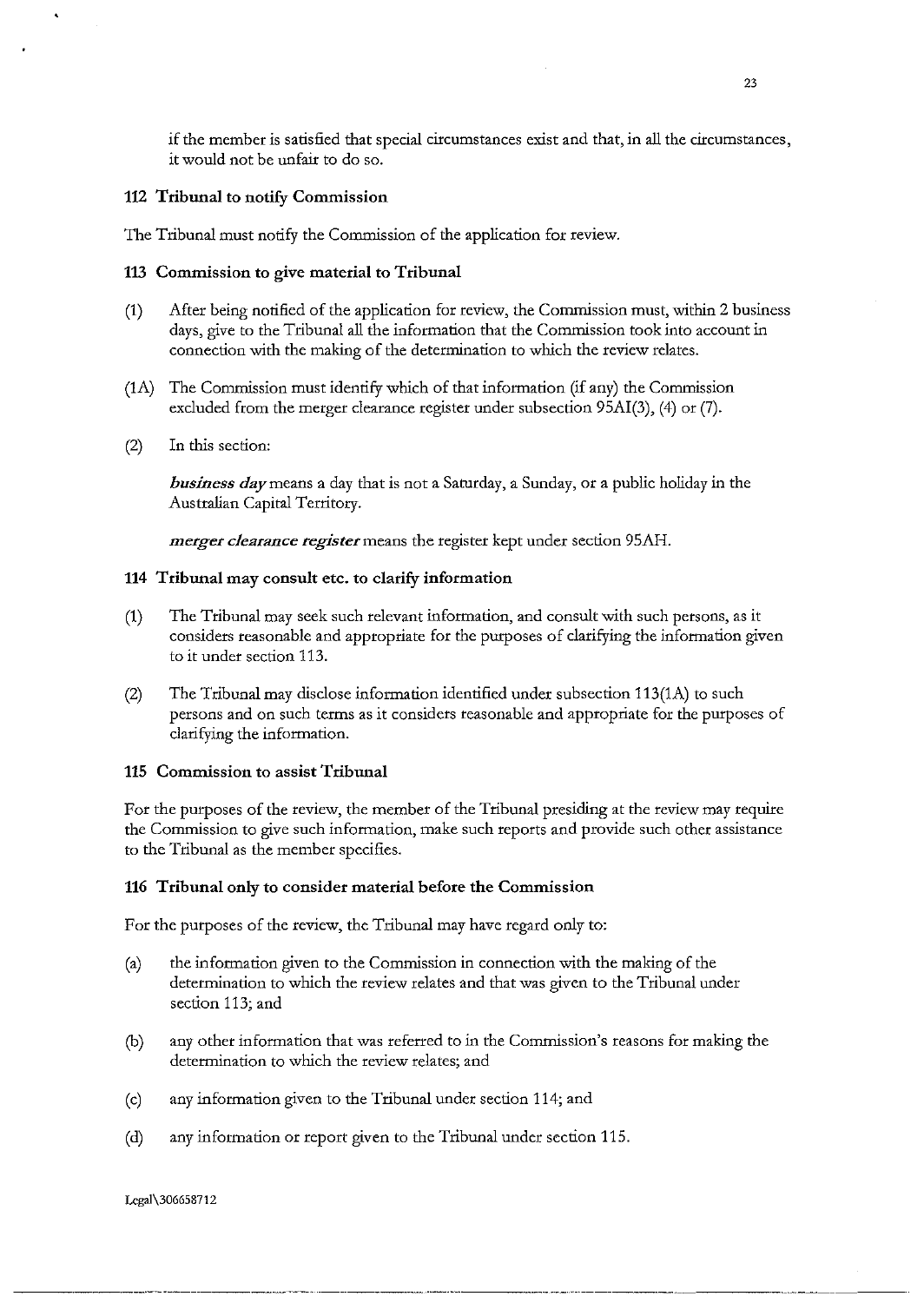if the member is satisfied that special circumstances exist and that, in all the circumstances, it would not be unfair to do so.

#### 112 Tribunal to notify Commission

The Tribunal must notify the Commission of the application for review.

### 113 Commission to give material to Tribunal

- (1) After being notified of the application for review, the Commission must, within 2 business days, *give* to the Tribunal all the information that the Commission took into account in connection with the making of the determination to which the review relates.
- (1A) The Commission must identify which of that information (if any) the Commission excluded from the merger clearance register under subsection 95AI(3), (4) or (7).
- (2) In this section:

*business day* means a day that is not a Saturday, a Sunday, or a public holiday in the Australian Capital Territory.

*merger clearance register* means the register kept under section 95AH.

#### 114 Tribunal may consult etc. to clarify information

- (1) The Tribunal may seek such relevant information, and consult with such persons, as it considers reasonable and appropriate for the purposes of clarifying the information given to it under section 113.
- (2) The Tribunal may disclose information identified under subsection 113(1A) to such persons and on such terms as it considers reasonable and appropriate for the purposes of clarifying the information.

#### 115 Commission to assist Tribunal

For the purposes of the review, the member of the Tribunal presiding at the review may require the Commission to give such information, make such reports and provide such other assistance to the Tribunal as the member specifies.

#### 116 Tribunal only to consider material before the Commission

For the purposes of the review, the Tribunal may have regard only to:

- (a) the information given to the Commission in connection with the making of the determination to which the review relates and that was given to the Tribunal under section 113; and
- (b) any other information that was referred to in the Commission's reasons for making the determination to which the review relates; and
- (c) any information given to the Tribunal under section 114; and
- (d) any information or report given to the Tribunal under section 115.

-~--------~--~---···--·- ··-----------····-------····-·····--------·

Legal\306658712